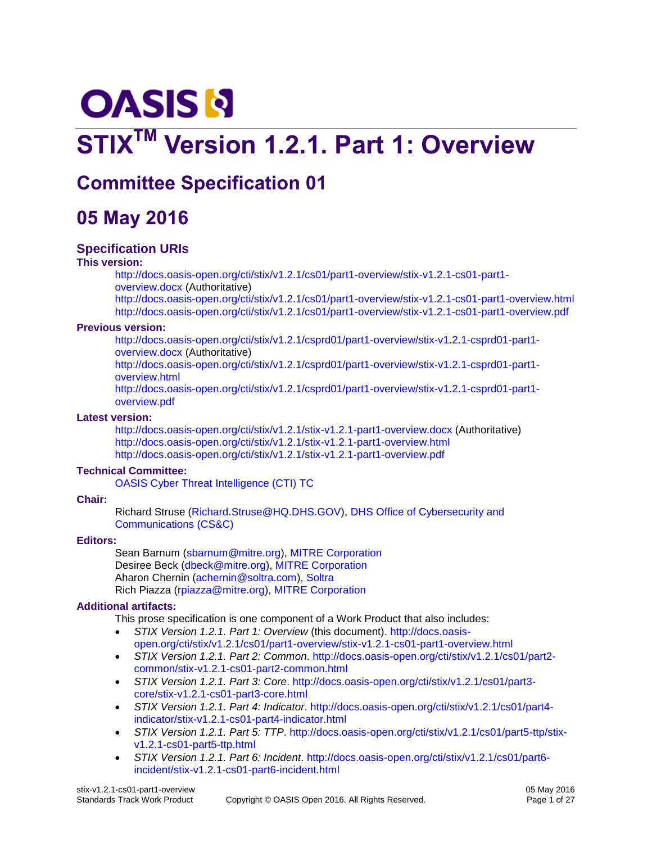# **OASIS N**

# **STIXTM Version 1.2.1. Part 1: Overview**

# **Committee Specification 01**

# **05 May 2016**

#### **Specification URIs**

#### **This version:**

[http://docs.oasis-open.org/cti/stix/v1.2.1/cs01/part1-overview/stix-v1.2.1-cs01-part1](http://docs.oasis-open.org/cti/stix/v1.2.1/cs01/part1-overview/stix-v1.2.1-cs01-part1-overview.docx) [overview.docx](http://docs.oasis-open.org/cti/stix/v1.2.1/cs01/part1-overview/stix-v1.2.1-cs01-part1-overview.docx) (Authoritative) <http://docs.oasis-open.org/cti/stix/v1.2.1/cs01/part1-overview/stix-v1.2.1-cs01-part1-overview.html>

<http://docs.oasis-open.org/cti/stix/v1.2.1/cs01/part1-overview/stix-v1.2.1-cs01-part1-overview.pdf>

#### **Previous version:**

[http://docs.oasis-open.org/cti/stix/v1.2.1/csprd01/part1-overview/stix-v1.2.1-csprd01-part1](http://docs.oasis-open.org/cti/stix/v1.2.1/csprd01/part1-overview/stix-v1.2.1-csprd01-part1-overview.docx) [overview.docx](http://docs.oasis-open.org/cti/stix/v1.2.1/csprd01/part1-overview/stix-v1.2.1-csprd01-part1-overview.docx) (Authoritative)

[http://docs.oasis-open.org/cti/stix/v1.2.1/csprd01/part1-overview/stix-v1.2.1-csprd01-part1](http://docs.oasis-open.org/cti/stix/v1.2.1/csprd01/part1-overview/stix-v1.2.1-csprd01-part1-overview.html) [overview.html](http://docs.oasis-open.org/cti/stix/v1.2.1/csprd01/part1-overview/stix-v1.2.1-csprd01-part1-overview.html)

[http://docs.oasis-open.org/cti/stix/v1.2.1/csprd01/part1-overview/stix-v1.2.1-csprd01-part1](http://docs.oasis-open.org/cti/stix/v1.2.1/csprd01/part1-overview/stix-v1.2.1-csprd01-part1-overview.pdf) [overview.pdf](http://docs.oasis-open.org/cti/stix/v1.2.1/csprd01/part1-overview/stix-v1.2.1-csprd01-part1-overview.pdf)

#### **Latest version:**

<http://docs.oasis-open.org/cti/stix/v1.2.1/stix-v1.2.1-part1-overview.docx> (Authoritative) <http://docs.oasis-open.org/cti/stix/v1.2.1/stix-v1.2.1-part1-overview.html> <http://docs.oasis-open.org/cti/stix/v1.2.1/stix-v1.2.1-part1-overview.pdf>

#### **Technical Committee:**

[OASIS Cyber Threat Intelligence \(CTI\) TC](https://www.oasis-open.org/committees/cti/)

#### **Chair:**

Richard Struse [\(Richard.Struse@HQ.DHS.GOV\)](mailto:Richard.Struse@HQ.DHS.GOV), [DHS Office of Cybersecurity and](http://www.dhs.gov/office-cybersecurity-and-communications)  [Communications \(CS&C\)](http://www.dhs.gov/office-cybersecurity-and-communications)

#### **Editors:**

Sean Barnum [\(sbarnum@mitre.org\)](mailto:sbarnum@mitre.org), [MITRE Corporation](http://www.mitre.org/) Desiree Beck [\(dbeck@mitre.org\)](mailto:dbeck@mitre.org), [MITRE Corporation](http://www.mitre.org/) Aharon Chernin [\(achernin@soltra.com\)](mailto:achernin@soltra.com)[, Soltra](http://www.soltra.com/) Rich Piazza [\(rpiazza@mitre.org\)](mailto:rpiazza@mitre.org), [MITRE Corporation](http://www.mitre.org/)

#### <span id="page-0-0"></span>**Additional artifacts:**

This prose specification is one component of a Work Product that also includes:

- *STIX Version 1.2.1. Part 1: Overview* (this document). [http://docs.oasis](http://docs.oasis-open.org/cti/stix/v1.2.1/cs01/part1-overview/stix-v1.2.1-cs01-part1-overview.html)[open.org/cti/stix/v1.2.1/cs01/part1-overview/stix-v1.2.1-cs01-part1-overview.html](http://docs.oasis-open.org/cti/stix/v1.2.1/cs01/part1-overview/stix-v1.2.1-cs01-part1-overview.html)
- *STIX Version 1.2.1. Part 2: Common*. [http://docs.oasis-open.org/cti/stix/v1.2.1/cs01/part2](http://docs.oasis-open.org/cti/stix/v1.2.1/cs01/part2-common/stix-v1.2.1-cs01-part2-common.html) [common/stix-v1.2.1-cs01-part2-common.html](http://docs.oasis-open.org/cti/stix/v1.2.1/cs01/part2-common/stix-v1.2.1-cs01-part2-common.html)
- *STIX Version 1.2.1. Part 3: Core*. [http://docs.oasis-open.org/cti/stix/v1.2.1/cs01/part3](http://docs.oasis-open.org/cti/stix/v1.2.1/cs01/part3-core/stix-v1.2.1-cs01-part3-core.html) [core/stix-v1.2.1-cs01-part3-core.html](http://docs.oasis-open.org/cti/stix/v1.2.1/cs01/part3-core/stix-v1.2.1-cs01-part3-core.html)
- *STIX Version 1.2.1. Part 4: Indicator*. [http://docs.oasis-open.org/cti/stix/v1.2.1/cs01/part4](http://docs.oasis-open.org/cti/stix/v1.2.1/cs01/part4-indicator/stix-v1.2.1-cs01-part4-indicator.html) [indicator/stix-v1.2.1-cs01-part4-indicator.html](http://docs.oasis-open.org/cti/stix/v1.2.1/cs01/part4-indicator/stix-v1.2.1-cs01-part4-indicator.html)
- *STIX Version 1.2.1. Part 5: TTP*. [http://docs.oasis-open.org/cti/stix/v1.2.1/cs01/part5-ttp/stix](http://docs.oasis-open.org/cti/stix/v1.2.1/cs01/part5-ttp/stix-v1.2.1-cs01-part5-ttp.html)[v1.2.1-cs01-part5-ttp.html](http://docs.oasis-open.org/cti/stix/v1.2.1/cs01/part5-ttp/stix-v1.2.1-cs01-part5-ttp.html)
- *STIX Version 1.2.1. Part 6: Incident*. [http://docs.oasis-open.org/cti/stix/v1.2.1/cs01/part6](http://docs.oasis-open.org/cti/stix/v1.2.1/cs01/part6-incident/stix-v1.2.1-cs01-part6-incident.html) [incident/stix-v1.2.1-cs01-part6-incident.html](http://docs.oasis-open.org/cti/stix/v1.2.1/cs01/part6-incident/stix-v1.2.1-cs01-part6-incident.html)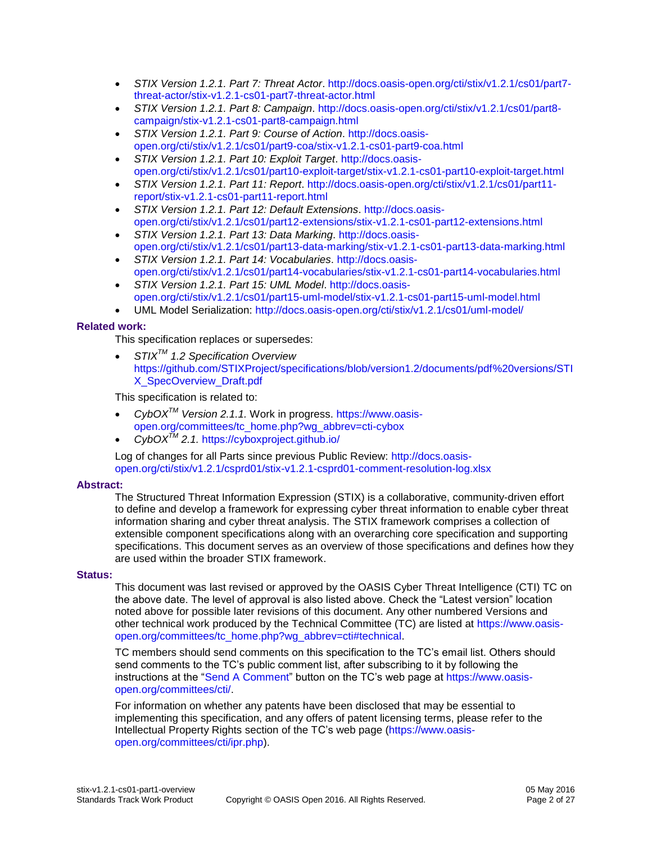- *STIX Version 1.2.1. Part 7: Threat Actor*. [http://docs.oasis-open.org/cti/stix/v1.2.1/cs01/part7](http://docs.oasis-open.org/cti/stix/v1.2.1/cs01/part7-threat-actor/stix-v1.2.1-cs01-part7-threat-actor.html) [threat-actor/stix-v1.2.1-cs01-part7-threat-actor.html](http://docs.oasis-open.org/cti/stix/v1.2.1/cs01/part7-threat-actor/stix-v1.2.1-cs01-part7-threat-actor.html)
- *STIX Version 1.2.1. Part 8: Campaign*. [http://docs.oasis-open.org/cti/stix/v1.2.1/cs01/part8](http://docs.oasis-open.org/cti/stix/v1.2.1/cs01/part8-campaign/stix-v1.2.1-cs01-part8-campaign.html) [campaign/stix-v1.2.1-cs01-part8-campaign.html](http://docs.oasis-open.org/cti/stix/v1.2.1/cs01/part8-campaign/stix-v1.2.1-cs01-part8-campaign.html)
- *STIX Version 1.2.1. Part 9: Course of Action*. [http://docs.oasis](http://docs.oasis-open.org/cti/stix/v1.2.1/cs01/part9-coa/stix-v1.2.1-cs01-part9-coa.html)[open.org/cti/stix/v1.2.1/cs01/part9-coa/stix-v1.2.1-cs01-part9-coa.html](http://docs.oasis-open.org/cti/stix/v1.2.1/cs01/part9-coa/stix-v1.2.1-cs01-part9-coa.html)
- *STIX Version 1.2.1. Part 10: Exploit Target*. [http://docs.oasis](http://docs.oasis-open.org/cti/stix/v1.2.1/cs01/part10-exploit-target/stix-v1.2.1-cs01-part10-exploit-target.html)[open.org/cti/stix/v1.2.1/cs01/part10-exploit-target/stix-v1.2.1-cs01-part10-exploit-target.html](http://docs.oasis-open.org/cti/stix/v1.2.1/cs01/part10-exploit-target/stix-v1.2.1-cs01-part10-exploit-target.html)
- *STIX Version 1.2.1. Part 11: Report*. [http://docs.oasis-open.org/cti/stix/v1.2.1/cs01/part11](http://docs.oasis-open.org/cti/stix/v1.2.1/cs01/part11-report/stix-v1.2.1-cs01-part11-report.html) [report/stix-v1.2.1-cs01-part11-report.html](http://docs.oasis-open.org/cti/stix/v1.2.1/cs01/part11-report/stix-v1.2.1-cs01-part11-report.html)
- *STIX Version 1.2.1. Part 12: Default Extensions*. [http://docs.oasis](http://docs.oasis-open.org/cti/stix/v1.2.1/cs01/part12-extensions/stix-v1.2.1-cs01-part12-extensions.html)[open.org/cti/stix/v1.2.1/cs01/part12-extensions/stix-v1.2.1-cs01-part12-extensions.html](http://docs.oasis-open.org/cti/stix/v1.2.1/cs01/part12-extensions/stix-v1.2.1-cs01-part12-extensions.html)
- *STIX Version 1.2.1. Part 13: Data Marking*. [http://docs.oasis](http://docs.oasis-open.org/cti/stix/v1.2.1/cs01/part13-data-marking/stix-v1.2.1-cs01-part13-data-marking.html)[open.org/cti/stix/v1.2.1/cs01/part13-data-marking/stix-v1.2.1-cs01-part13-data-marking.html](http://docs.oasis-open.org/cti/stix/v1.2.1/cs01/part13-data-marking/stix-v1.2.1-cs01-part13-data-marking.html)
- *STIX Version 1.2.1. Part 14: Vocabularies*. [http://docs.oasis](http://docs.oasis-open.org/cti/stix/v1.2.1/cs01/part14-vocabularies/stix-v1.2.1-cs01-part14-vocabularies.html)[open.org/cti/stix/v1.2.1/cs01/part14-vocabularies/stix-v1.2.1-cs01-part14-vocabularies.html](http://docs.oasis-open.org/cti/stix/v1.2.1/cs01/part14-vocabularies/stix-v1.2.1-cs01-part14-vocabularies.html)
- *STIX Version 1.2.1. Part 15: UML Model*. [http://docs.oasis](http://docs.oasis-open.org/cti/stix/v1.2.1/cs01/part15-uml-model/stix-v1.2.1-cs01-part15-uml-model.html)[open.org/cti/stix/v1.2.1/cs01/part15-uml-model/stix-v1.2.1-cs01-part15-uml-model.html](http://docs.oasis-open.org/cti/stix/v1.2.1/cs01/part15-uml-model/stix-v1.2.1-cs01-part15-uml-model.html)
- UML Model Serialization:<http://docs.oasis-open.org/cti/stix/v1.2.1/cs01/uml-model/>

#### <span id="page-1-0"></span>**Related work:**

This specification replaces or supersedes:

 *STIXTM 1.2 Specification Overview*  [https://github.com/STIXProject/specifications/blob/version1.2/documents/pdf%20versions/STI](https://github.com/STIXProject/specifications/blob/version1.2/documents/pdf%20versions/STIX_SpecOverview_Draft.pdf) [X\\_SpecOverview\\_Draft.pdf](https://github.com/STIXProject/specifications/blob/version1.2/documents/pdf%20versions/STIX_SpecOverview_Draft.pdf)

This specification is related to:

- *CybOXTM Version 2.1.1.* Work in progress. [https://www.oasis](https://www.oasis-open.org/committees/tc_home.php?wg_abbrev=cti-cybox)[open.org/committees/tc\\_home.php?wg\\_abbrev=cti-cybox](https://www.oasis-open.org/committees/tc_home.php?wg_abbrev=cti-cybox)
- *CybOXTM 2.1.* <https://cyboxproject.github.io/>

Log of changes for all Parts since previous Public Review: [http://docs.oasis](http://docs.oasis-open.org/cti/stix/v1.2.1/csprd01/stix-v1.2.1-csprd01-comment-resolution-log.xlsx)[open.org/cti/stix/v1.2.1/csprd01/stix-v1.2.1-csprd01-comment-resolution-log.xlsx](http://docs.oasis-open.org/cti/stix/v1.2.1/csprd01/stix-v1.2.1-csprd01-comment-resolution-log.xlsx)

#### **Abstract:**

The Structured Threat Information Expression (STIX) is a collaborative, community-driven effort to define and develop a framework for expressing cyber threat information to enable cyber threat information sharing and cyber threat analysis. The STIX framework comprises a collection of extensible component specifications along with an overarching core specification and supporting specifications. This document serves as an overview of those specifications and defines how they are used within the broader STIX framework.

#### **Status:**

This document was last revised or approved by the OASIS Cyber Threat Intelligence (CTI) TC on the above date. The level of approval is also listed above. Check the "Latest version" location noted above for possible later revisions of this document. Any other numbered Versions and other technical work produced by the Technical Committee (TC) are listed at [https://www.oasis](https://www.oasis-open.org/committees/tc_home.php?wg_abbrev=cti#technical)[open.org/committees/tc\\_home.php?wg\\_abbrev=cti#technical.](https://www.oasis-open.org/committees/tc_home.php?wg_abbrev=cti#technical)

TC members should send comments on this specification to the TC's email list. Others should send comments to the TC's public comment list, after subscribing to it by following the instructions at the ["Send A Comment"](https://www.oasis-open.org/committees/comments/index.php?wg_abbrev=cti) button on the TC's web page at [https://www.oasis](https://www.oasis-open.org/committees/cti/)[open.org/committees/cti/.](https://www.oasis-open.org/committees/cti/)

For information on whether any patents have been disclosed that may be essential to implementing this specification, and any offers of patent licensing terms, please refer to the Intellectual Property Rights section of the TC's web page [\(https://www.oasis](https://www.oasis-open.org/committees/cti/ipr.php)[open.org/committees/cti/ipr.php\)](https://www.oasis-open.org/committees/cti/ipr.php).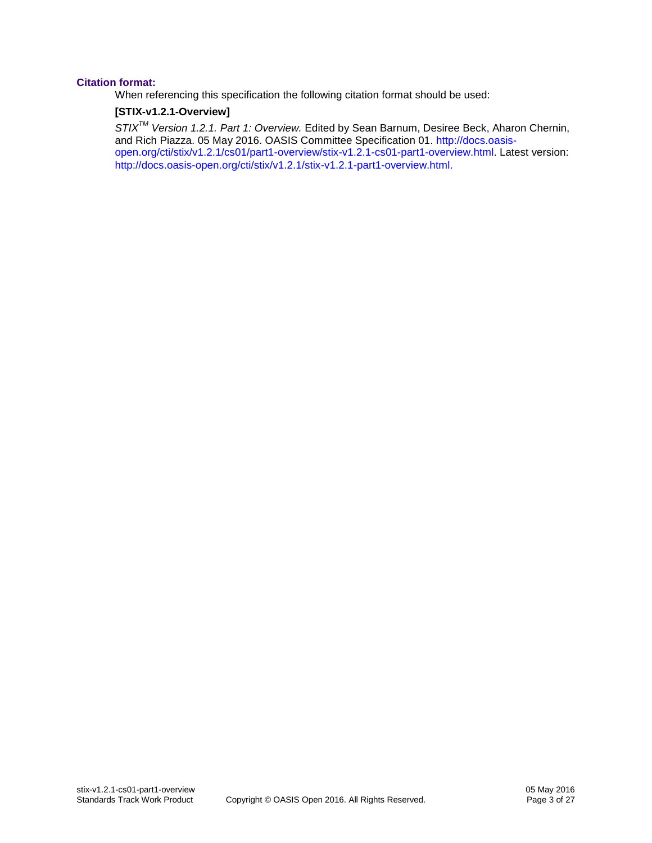#### **Citation format:**

When referencing this specification the following citation format should be used:

#### **[STIX-v1.2.1-Overview]**

*STIXTM Version 1.2.1. Part 1: Overview.* Edited by Sean Barnum, Desiree Beck, Aharon Chernin, and Rich Piazza. 05 May 2016. OASIS Committee Specification 01. [http://docs.oasis](http://docs.oasis-open.org/cti/stix/v1.2.1/cs01/part1-overview/stix-v1.2.1-cs01-part1-overview.html)[open.org/cti/stix/v1.2.1/cs01/part1-overview/stix-v1.2.1-cs01-part1-overview.html.](http://docs.oasis-open.org/cti/stix/v1.2.1/cs01/part1-overview/stix-v1.2.1-cs01-part1-overview.html) Latest version: [http://docs.oasis-open.org/cti/stix/v1.2.1/stix-v1.2.1-part1-overview.html.](http://docs.oasis-open.org/cti/stix/v1.2.1/stix-v1.2.1-part1-overview.html)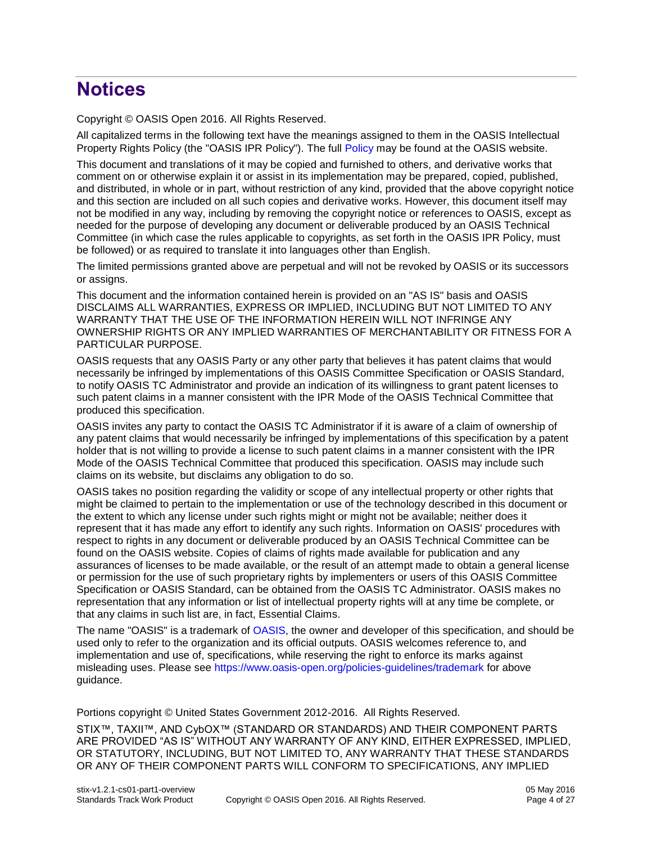# **Notices**

Copyright © OASIS Open 2016. All Rights Reserved.

All capitalized terms in the following text have the meanings assigned to them in the OASIS Intellectual Property Rights Policy (the "OASIS IPR Policy"). The full [Policy](https://www.oasis-open.org/policies-guidelines/ipr) may be found at the OASIS website.

This document and translations of it may be copied and furnished to others, and derivative works that comment on or otherwise explain it or assist in its implementation may be prepared, copied, published, and distributed, in whole or in part, without restriction of any kind, provided that the above copyright notice and this section are included on all such copies and derivative works. However, this document itself may not be modified in any way, including by removing the copyright notice or references to OASIS, except as needed for the purpose of developing any document or deliverable produced by an OASIS Technical Committee (in which case the rules applicable to copyrights, as set forth in the OASIS IPR Policy, must be followed) or as required to translate it into languages other than English.

The limited permissions granted above are perpetual and will not be revoked by OASIS or its successors or assigns.

This document and the information contained herein is provided on an "AS IS" basis and OASIS DISCLAIMS ALL WARRANTIES, EXPRESS OR IMPLIED, INCLUDING BUT NOT LIMITED TO ANY WARRANTY THAT THE USE OF THE INFORMATION HEREIN WILL NOT INFRINGE ANY OWNERSHIP RIGHTS OR ANY IMPLIED WARRANTIES OF MERCHANTABILITY OR FITNESS FOR A PARTICULAR PURPOSE.

OASIS requests that any OASIS Party or any other party that believes it has patent claims that would necessarily be infringed by implementations of this OASIS Committee Specification or OASIS Standard, to notify OASIS TC Administrator and provide an indication of its willingness to grant patent licenses to such patent claims in a manner consistent with the IPR Mode of the OASIS Technical Committee that produced this specification.

OASIS invites any party to contact the OASIS TC Administrator if it is aware of a claim of ownership of any patent claims that would necessarily be infringed by implementations of this specification by a patent holder that is not willing to provide a license to such patent claims in a manner consistent with the IPR Mode of the OASIS Technical Committee that produced this specification. OASIS may include such claims on its website, but disclaims any obligation to do so.

OASIS takes no position regarding the validity or scope of any intellectual property or other rights that might be claimed to pertain to the implementation or use of the technology described in this document or the extent to which any license under such rights might or might not be available; neither does it represent that it has made any effort to identify any such rights. Information on OASIS' procedures with respect to rights in any document or deliverable produced by an OASIS Technical Committee can be found on the OASIS website. Copies of claims of rights made available for publication and any assurances of licenses to be made available, or the result of an attempt made to obtain a general license or permission for the use of such proprietary rights by implementers or users of this OASIS Committee Specification or OASIS Standard, can be obtained from the OASIS TC Administrator. OASIS makes no representation that any information or list of intellectual property rights will at any time be complete, or that any claims in such list are, in fact, Essential Claims.

The name "OASIS" is a trademark of [OASIS,](https://www.oasis-open.org/) the owner and developer of this specification, and should be used only to refer to the organization and its official outputs. OASIS welcomes reference to, and implementation and use of, specifications, while reserving the right to enforce its marks against misleading uses. Please see<https://www.oasis-open.org/policies-guidelines/trademark> for above guidance.

Portions copyright © United States Government 2012-2016. All Rights Reserved.

STIX™, TAXII™, AND CybOX™ (STANDARD OR STANDARDS) AND THEIR COMPONENT PARTS ARE PROVIDED "AS IS" WITHOUT ANY WARRANTY OF ANY KIND, EITHER EXPRESSED, IMPLIED, OR STATUTORY, INCLUDING, BUT NOT LIMITED TO, ANY WARRANTY THAT THESE STANDARDS OR ANY OF THEIR COMPONENT PARTS WILL CONFORM TO SPECIFICATIONS, ANY IMPLIED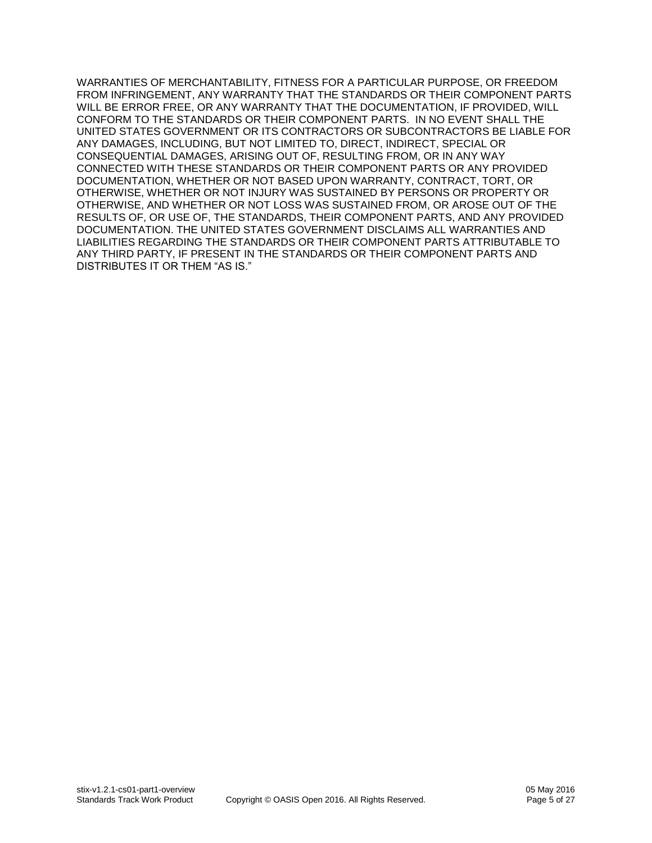WARRANTIES OF MERCHANTABILITY, FITNESS FOR A PARTICULAR PURPOSE, OR FREEDOM FROM INFRINGEMENT, ANY WARRANTY THAT THE STANDARDS OR THEIR COMPONENT PARTS WILL BE ERROR FREE, OR ANY WARRANTY THAT THE DOCUMENTATION, IF PROVIDED, WILL CONFORM TO THE STANDARDS OR THEIR COMPONENT PARTS. IN NO EVENT SHALL THE UNITED STATES GOVERNMENT OR ITS CONTRACTORS OR SUBCONTRACTORS BE LIABLE FOR ANY DAMAGES, INCLUDING, BUT NOT LIMITED TO, DIRECT, INDIRECT, SPECIAL OR CONSEQUENTIAL DAMAGES, ARISING OUT OF, RESULTING FROM, OR IN ANY WAY CONNECTED WITH THESE STANDARDS OR THEIR COMPONENT PARTS OR ANY PROVIDED DOCUMENTATION, WHETHER OR NOT BASED UPON WARRANTY, CONTRACT, TORT, OR OTHERWISE, WHETHER OR NOT INJURY WAS SUSTAINED BY PERSONS OR PROPERTY OR OTHERWISE, AND WHETHER OR NOT LOSS WAS SUSTAINED FROM, OR AROSE OUT OF THE RESULTS OF, OR USE OF, THE STANDARDS, THEIR COMPONENT PARTS, AND ANY PROVIDED DOCUMENTATION. THE UNITED STATES GOVERNMENT DISCLAIMS ALL WARRANTIES AND LIABILITIES REGARDING THE STANDARDS OR THEIR COMPONENT PARTS ATTRIBUTABLE TO ANY THIRD PARTY, IF PRESENT IN THE STANDARDS OR THEIR COMPONENT PARTS AND DISTRIBUTES IT OR THEM "AS IS."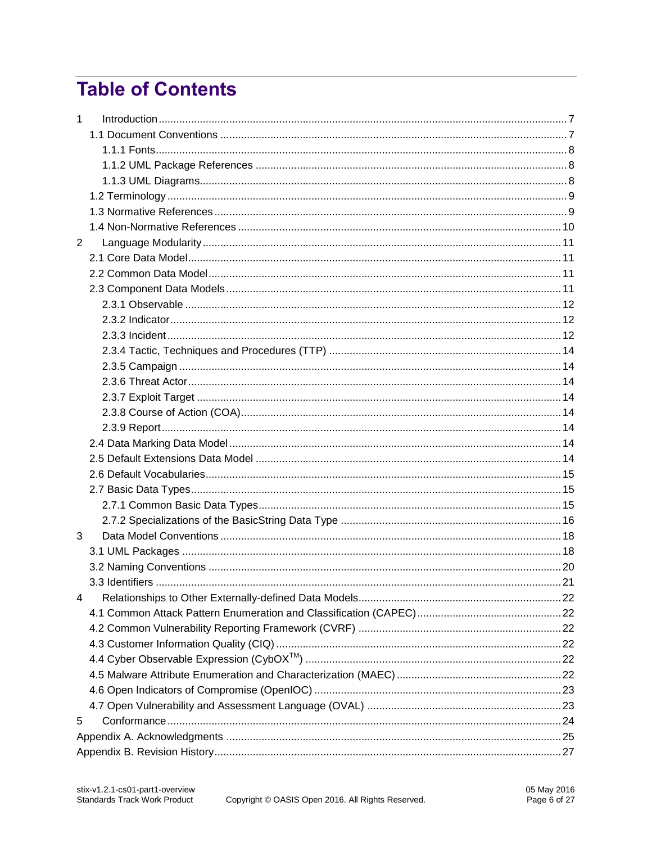# **Table of Contents**

| $\mathbf{1}$   |  |
|----------------|--|
|                |  |
|                |  |
|                |  |
|                |  |
|                |  |
|                |  |
|                |  |
| $\overline{2}$ |  |
|                |  |
|                |  |
|                |  |
|                |  |
|                |  |
|                |  |
|                |  |
|                |  |
|                |  |
|                |  |
|                |  |
|                |  |
|                |  |
|                |  |
|                |  |
|                |  |
|                |  |
|                |  |
| 3              |  |
|                |  |
|                |  |
|                |  |
| 4              |  |
|                |  |
|                |  |
|                |  |
|                |  |
|                |  |
|                |  |
|                |  |
| 5              |  |
|                |  |
|                |  |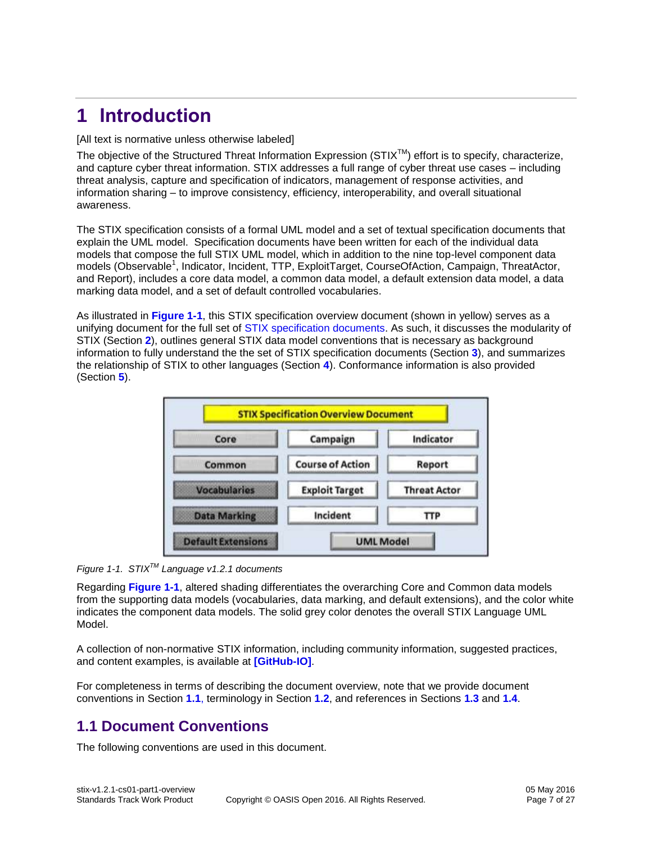# <span id="page-6-0"></span>**1 Introduction**

#### [All text is normative unless otherwise labeled]

The objective of the Structured Threat Information Expression ( $STIX^{TM}$ ) effort is to specify, characterize, and capture cyber threat information. STIX addresses a full range of cyber threat use cases – including threat analysis, capture and specification of indicators, management of response activities, and information sharing – to improve consistency, efficiency, interoperability, and overall situational awareness.

The STIX specification consists of a formal UML model and a set of textual specification documents that explain the UML model. Specification documents have been written for each of the individual data models that compose the full STIX UML model, which in addition to the nine top-level component data models (Observable<sup>1</sup>, Indicator, Incident, TTP, ExploitTarget, CourseOfAction, Campaign, ThreatActor, and Report), includes a core data model, a common data model, a default extension data model, a data marking data model, and a set of default controlled vocabularies.

As illustrated in **[Figure 1-1](#page-6-2)**, this STIX specification overview document (shown in yellow) serves as a unifying document for the full set of [STIX specification documents.](#page-0-0) As such, it discusses the modularity of STIX (Section **[2](#page-10-0)**), outlines general STIX data model conventions that is necessary as background information to fully understand the the set of STIX specification documents (Section **[3](#page-17-0)**), and summarizes the relationship of STIX to other languages (Section **[4](#page-21-0)**). Conformance information is also provided (Section **[5](#page-23-0)**).



<span id="page-6-2"></span>*Figure 1-1. STIXTM Language v1.2.1 documents*

Regarding **[Figure 1-1](#page-6-2)**, altered shading differentiates the overarching Core and Common data models from the supporting data models (vocabularies, data marking, and default extensions), and the color white indicates the component data models. The solid grey color denotes the overall STIX Language UML Model.

A collection of non-normative STIX information, including community information, suggested practices, and content examples, is available at **[\[GitHub-IO\]](#page-9-1)**.

For completeness in terms of describing the document overview, note that we provide document conventions in Section **[1.1](#page-6-1)**, terminology in Section **[1.2](#page-8-0)**, and references in Sections **[1.3](#page-8-1)** and **[1.4](#page-9-0)**.

# <span id="page-6-1"></span>**1.1 Document Conventions**

The following conventions are used in this document.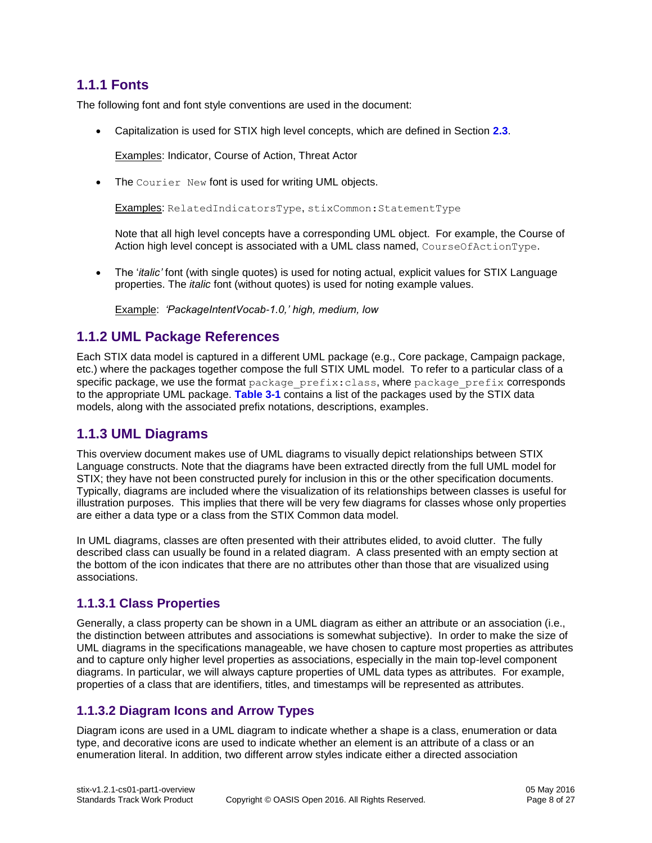#### <span id="page-7-0"></span>**1.1.1 Fonts**

The following font and font style conventions are used in the document:

Capitalization is used for STIX high level concepts, which are defined in Section **[2.3](#page-10-3)**.

Examples: Indicator, Course of Action, Threat Actor

The Courier New font is used for writing UML objects.

Examples: RelatedIndicatorsType, stixCommon:StatementType

Note that all high level concepts have a corresponding UML object. For example, the Course of Action high level concept is associated with a UML class named, CourseOfActionType.

 The '*italic'* font (with single quotes) is used for noting actual, explicit values for STIX Language properties. The *italic* font (without quotes) is used for noting example values.

Example: *'PackageIntentVocab-1.0,' high, medium, low*

#### <span id="page-7-1"></span>**1.1.2 UML Package References**

Each STIX data model is captured in a different UML package (e.g., Core package, Campaign package, etc.) where the packages together compose the full STIX UML model. To refer to a particular class of a specific package, we use the format package  $prefix:class$ , where package  $prefix$  corresponds to the appropriate UML package. **[Table 3-1](#page-17-2)** contains a list of the packages used by the STIX data models, along with the associated prefix notations, descriptions, examples.

#### <span id="page-7-2"></span>**1.1.3 UML Diagrams**

This overview document makes use of UML diagrams to visually depict relationships between STIX Language constructs. Note that the diagrams have been extracted directly from the full UML model for STIX; they have not been constructed purely for inclusion in this or the other specification documents. Typically, diagrams are included where the visualization of its relationships between classes is useful for illustration purposes. This implies that there will be very few diagrams for classes whose only properties are either a data type or a class from the STIX Common data model.

In UML diagrams, classes are often presented with their attributes elided, to avoid clutter. The fully described class can usually be found in a related diagram. A class presented with an empty section at the bottom of the icon indicates that there are no attributes other than those that are visualized using associations.

#### **1.1.3.1 Class Properties**

Generally, a class property can be shown in a UML diagram as either an attribute or an association (i.e., the distinction between attributes and associations is somewhat subjective). In order to make the size of UML diagrams in the specifications manageable, we have chosen to capture most properties as attributes and to capture only higher level properties as associations, especially in the main top-level component diagrams. In particular, we will always capture properties of UML data types as attributes. For example, properties of a class that are identifiers, titles, and timestamps will be represented as attributes.

#### **1.1.3.2 Diagram Icons and Arrow Types**

Diagram icons are used in a UML diagram to indicate whether a shape is a class, enumeration or data type, and decorative icons are used to indicate whether an element is an attribute of a class or an enumeration literal. In addition, two different arrow styles indicate either a directed association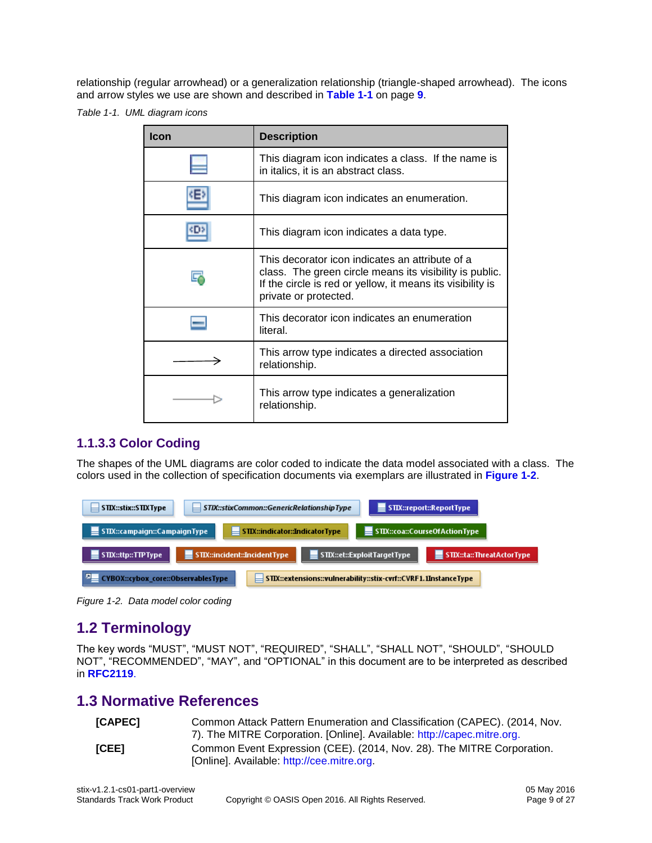relationship (regular arrowhead) or a generalization relationship (triangle-shaped arrowhead). The icons and arrow styles we use are shown and described in **[Table 1-1](#page-8-2)** on page **[9](#page-8-3)**.

<span id="page-8-2"></span>*Table 1-1. UML diagram icons*

<span id="page-8-3"></span>

| <b>Icon</b> | <b>Description</b>                                                                                                                                                                                |
|-------------|---------------------------------------------------------------------------------------------------------------------------------------------------------------------------------------------------|
|             | This diagram icon indicates a class. If the name is<br>in italics, it is an abstract class.                                                                                                       |
| KE2         | This diagram icon indicates an enumeration.                                                                                                                                                       |
|             | This diagram icon indicates a data type.                                                                                                                                                          |
|             | This decorator icon indicates an attribute of a<br>class. The green circle means its visibility is public.<br>If the circle is red or yellow, it means its visibility is<br>private or protected. |
|             | This decorator icon indicates an enumeration<br>literal.                                                                                                                                          |
|             | This arrow type indicates a directed association<br>relationship.                                                                                                                                 |
|             | This arrow type indicates a generalization<br>relationship.                                                                                                                                       |

#### **1.1.3.3 Color Coding**

The shapes of the UML diagrams are color coded to indicate the data model associated with a class. The colors used in the collection of specification documents via exemplars are illustrated in **[Figure 1-2](#page-8-4)**.

| STIX::stix::STIXType                                                                                           |                                       |                                | STIX::stixCommon::GenericRelationshipType |                                      | $\equiv$ STIX::report::ReportType |
|----------------------------------------------------------------------------------------------------------------|---------------------------------------|--------------------------------|-------------------------------------------|--------------------------------------|-----------------------------------|
| STIX::campaign::CampaignType                                                                                   |                                       | STIX::indicator::IndicatorType |                                           | STIX::coa::CourseOfActionType        |                                   |
| STIX::ttp::TTPType                                                                                             | $\equiv$ STIX::incident::IncidentType |                                |                                           | $\equiv$ STIX::et::ExploitTargetType | STIX::ta::ThreatActorType         |
| <b>CYBOX::cybox core::ObservablesType</b><br>  STIX::extensions::vulnerability::stix-cvrf::CVRF1.1InstanceType |                                       |                                |                                           |                                      |                                   |

<span id="page-8-4"></span>*Figure 1-2. Data model color coding*

### <span id="page-8-0"></span>**1.2 Terminology**

The key words "MUST", "MUST NOT", "REQUIRED", "SHALL", "SHALL NOT", "SHOULD", "SHOULD NOT", "RECOMMENDED", "MAY", and "OPTIONAL" in this document are to be interpreted as described in **[RFC2119](#page-9-2)**.

#### <span id="page-8-1"></span>**1.3 Normative References**

<span id="page-8-6"></span><span id="page-8-5"></span>

| [CAPEC] | Common Attack Pattern Enumeration and Classification (CAPEC). (2014, Nov. |
|---------|---------------------------------------------------------------------------|
|         | 7). The MITRE Corporation. [Online]. Available: http://capec.mitre.org.   |
| [CEE]   | Common Event Expression (CEE). (2014, Nov. 28). The MITRE Corporation.    |
|         | [Online]. Available: http://cee.mitre.org.                                |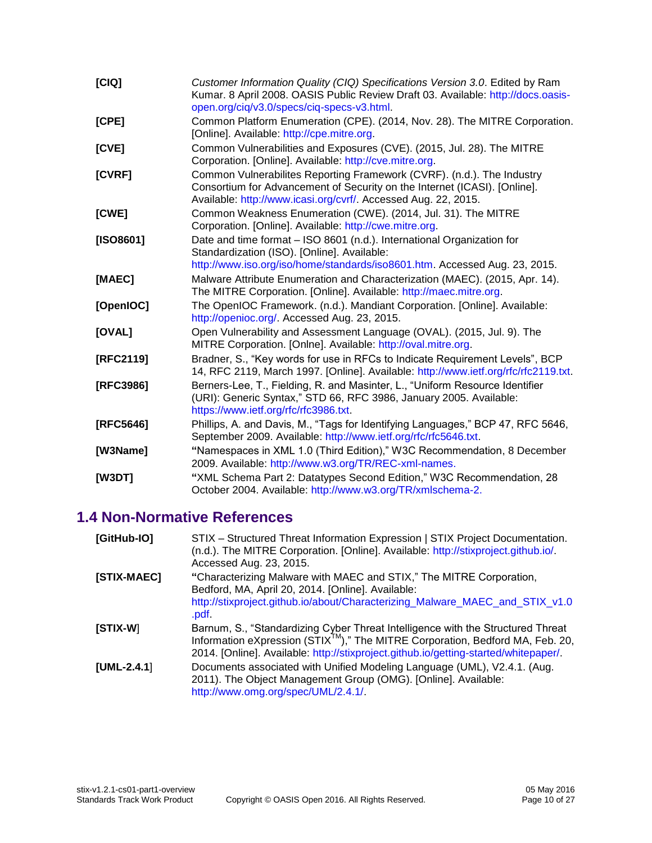<span id="page-9-15"></span><span id="page-9-14"></span><span id="page-9-10"></span><span id="page-9-7"></span><span id="page-9-6"></span><span id="page-9-5"></span><span id="page-9-4"></span>

| [CIQ]     | Customer Information Quality (CIQ) Specifications Version 3.0. Edited by Ram<br>Kumar. 8 April 2008. OASIS Public Review Draft 03. Available: http://docs.oasis-<br>open.org/ciq/v3.0/specs/ciq-specs-v3.html.        |
|-----------|-----------------------------------------------------------------------------------------------------------------------------------------------------------------------------------------------------------------------|
| [CPE]     | Common Platform Enumeration (CPE). (2014, Nov. 28). The MITRE Corporation.<br>[Online]. Available: http://cpe.mitre.org.                                                                                              |
| [CVE]     | Common Vulnerabilities and Exposures (CVE). (2015, Jul. 28). The MITRE<br>Corporation. [Online]. Available: http://cve.mitre.org.                                                                                     |
| [CVRF]    | Common Vulnerabilites Reporting Framework (CVRF). (n.d.). The Industry<br>Consortium for Advancement of Security on the Internet (ICASI). [Online].<br>Available: http://www.icasi.org/cvrf/. Accessed Aug. 22, 2015. |
| [CWE]     | Common Weakness Enumeration (CWE). (2014, Jul. 31). The MITRE<br>Corporation. [Online]. Available: http://cwe.mitre.org.                                                                                              |
| [ISO8601] | Date and time format - ISO 8601 (n.d.). International Organization for<br>Standardization (ISO). [Online]. Available:<br>http://www.iso.org/iso/home/standards/iso8601.htm. Accessed Aug. 23, 2015.                   |
| [MAEC]    | Malware Attribute Enumeration and Characterization (MAEC). (2015, Apr. 14).<br>The MITRE Corporation. [Online]. Available: http://maec.mitre.org.                                                                     |
| [OpenIOC] | The OpenIOC Framework. (n.d.). Mandiant Corporation. [Online]. Available:<br>http://openioc.org/. Accessed Aug. 23, 2015.                                                                                             |
| [OVAL]    | Open Vulnerability and Assessment Language (OVAL). (2015, Jul. 9). The<br>MITRE Corporation. [Onlne]. Available: http://oval.mitre.org.                                                                               |
| [RFC2119] | Bradner, S., "Key words for use in RFCs to Indicate Requirement Levels", BCP<br>14, RFC 2119, March 1997. [Online]. Available: http://www.ietf.org/rfc/rfc2119.txt.                                                   |
| [RFC3986] | Berners-Lee, T., Fielding, R. and Masinter, L., "Uniform Resource Identifier<br>(URI): Generic Syntax," STD 66, RFC 3986, January 2005. Available:<br>https://www.ietf.org/rfc/rfc3986.txt.                           |
| [RFC5646] | Phillips, A. and Davis, M., "Tags for Identifying Languages," BCP 47, RFC 5646,<br>September 2009. Available: http://www.ietf.org/rfc/rfc5646.txt.                                                                    |
| [W3Name]  | "Namespaces in XML 1.0 (Third Edition)," W3C Recommendation, 8 December<br>2009. Available: http://www.w3.org/TR/REC-xml-names.                                                                                       |
| [W3DT]    | "XML Schema Part 2: Datatypes Second Edition," W3C Recommendation, 28<br>October 2004. Available: http://www.w3.org/TR/xmlschema-2.                                                                                   |

# <span id="page-9-18"></span><span id="page-9-17"></span><span id="page-9-13"></span><span id="page-9-12"></span><span id="page-9-11"></span><span id="page-9-9"></span><span id="page-9-2"></span><span id="page-9-0"></span>**1.4 Non-Normative References**

<span id="page-9-16"></span><span id="page-9-8"></span><span id="page-9-3"></span><span id="page-9-1"></span>

| [GitHub-IO]   | STIX - Structured Threat Information Expression   STIX Project Documentation.<br>(n.d.). The MITRE Corporation. [Online]. Available: http://stixproject.github.io/.<br>Accessed Aug. 23, 2015.                                                                       |
|---------------|----------------------------------------------------------------------------------------------------------------------------------------------------------------------------------------------------------------------------------------------------------------------|
| [STIX-MAEC]   | "Characterizing Malware with MAEC and STIX," The MITRE Corporation,<br>Bedford, MA, April 20, 2014. [Online]. Available:<br>http://stixproject.github.io/about/Characterizing_Malware_MAEC_and_STIX_v1.0<br>.pdf.                                                    |
| $[STIX-W]$    | Barnum, S., "Standardizing Cyber Threat Intelligence with the Structured Threat<br>Information eXpression (STIX <sup>™</sup> )," The MITRE Corporation, Bedford MA, Feb. 20,<br>2014. [Online]. Available: http://stixproject.github.io/getting-started/whitepaper/. |
| $[UML-2.4.1]$ | Documents associated with Unified Modeling Language (UML), V2.4.1. (Aug.<br>2011). The Object Management Group (OMG). [Online]. Available:<br>http://www.omg.org/spec/UML/2.4.1/                                                                                     |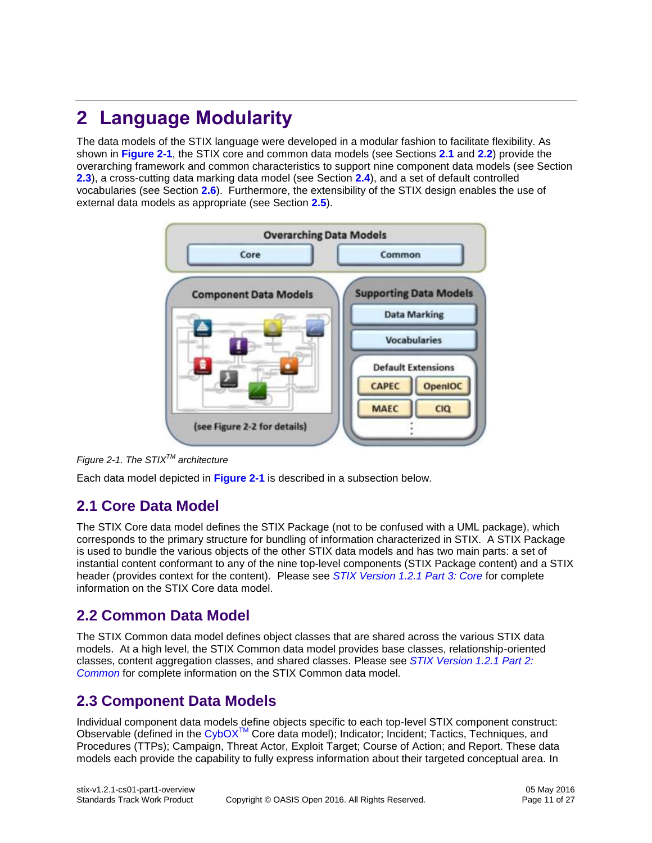# <span id="page-10-0"></span>**2 Language Modularity**

The data models of the STIX language were developed in a modular fashion to facilitate flexibility. As shown in **[Figure 2-1](#page-10-4)**, the STIX core and common data models (see Sections **[2.1](#page-10-1)** and **[2.2](#page-10-2)**) provide the overarching framework and common characteristics to support nine component data models (see Section **[2.3](#page-10-3)**), a cross-cutting data marking data model (see Section **[2.4](#page-13-6)**), and a set of default controlled vocabularies (see Section **[2.6](#page-14-0)**). Furthermore, the extensibility of the STIX design enables the use of external data models as appropriate (see Section **[2.5](#page-13-7)**).



<span id="page-10-4"></span>

Each data model depicted in **[Figure 2-1](#page-10-4)** is described in a subsection below.

### <span id="page-10-1"></span>**2.1 Core Data Model**

The STIX Core data model defines the STIX Package (not to be confused with a UML package), which corresponds to the primary structure for bundling of information characterized in STIX. A STIX Package is used to bundle the various objects of the other STIX data models and has two main parts: a set of instantial content conformant to any of the nine top-level components (STIX Package content) and a STIX header (provides context for the content). Please see *[STIX Version 1.2.1 Part 3: Core](#page-0-0)* for complete information on the STIX Core data model.

### <span id="page-10-2"></span>**2.2 Common Data Model**

The STIX Common data model defines object classes that are shared across the various STIX data models. At a high level, the STIX Common data model provides base classes, relationship-oriented classes, content aggregation classes, and shared classes. Please see *[STIX Version 1.2.1 Part 2:](#page-0-0)  [Common](#page-0-0)* for complete information on the STIX Common data model.

### <span id="page-10-3"></span>**2.3 Component Data Models**

Individual component data models define objects specific to each top-level STIX component construct: Observable (defined in the  $CyboX^{TM}$  Core data model); Indicator; Incident; Tactics, Techniques, and Procedures (TTPs); Campaign, Threat Actor, Exploit Target; Course of Action; and Report. These data models each provide the capability to fully express information about their targeted conceptual area. In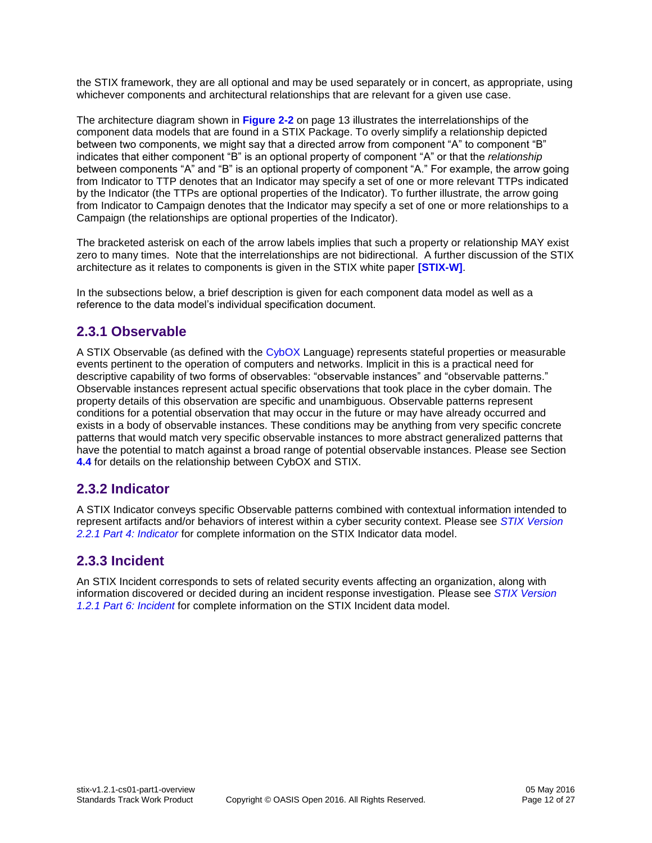the STIX framework, they are all optional and may be used separately or in concert, as appropriate, using whichever components and architectural relationships that are relevant for a given use case.

The architecture diagram shown in **[Figure 2-2](#page-12-0)** on page [13](#page-12-0) illustrates the interrelationships of the component data models that are found in a STIX Package. To overly simplify a relationship depicted between two components, we might say that a directed arrow from component "A" to component "B" indicates that either component "B" is an optional property of component "A" or that the *relationship* between components "A" and "B" is an optional property of component "A." For example, the arrow going from Indicator to TTP denotes that an Indicator may specify a set of one or more relevant TTPs indicated by the Indicator (the TTPs are optional properties of the Indicator). To further illustrate, the arrow going from Indicator to Campaign denotes that the Indicator may specify a set of one or more relationships to a Campaign (the relationships are optional properties of the Indicator).

The bracketed asterisk on each of the arrow labels implies that such a property or relationship MAY exist zero to many times. Note that the interrelationships are not bidirectional. A further discussion of the STIX architecture as it relates to components is given in the STIX white paper **[\[STIX-W\]](#page-9-3)**.

In the subsections below, a brief description is given for each component data model as well as a reference to the data model's individual specification document.

#### <span id="page-11-0"></span>**2.3.1 Observable**

A STIX Observable (as defined with the [CybOX](#page-1-0) Language) represents stateful properties or measurable events pertinent to the operation of computers and networks. Implicit in this is a practical need for descriptive capability of two forms of observables: "observable instances" and "observable patterns." Observable instances represent actual specific observations that took place in the cyber domain. The property details of this observation are specific and unambiguous. Observable patterns represent conditions for a potential observation that may occur in the future or may have already occurred and exists in a body of observable instances. These conditions may be anything from very specific concrete patterns that would match very specific observable instances to more abstract generalized patterns that have the potential to match against a broad range of potential observable instances. Please see Section **[4.4](#page-21-4)** for details on the relationship between CybOX and STIX.

#### <span id="page-11-1"></span>**2.3.2 Indicator**

A STIX Indicator conveys specific Observable patterns combined with contextual information intended to represent artifacts and/or behaviors of interest within a cyber security context. Please see *[STIX Version](#page-0-0)  [2.2.1 Part 4: Indicator](#page-0-0)* for complete information on the STIX Indicator data model.

#### <span id="page-11-2"></span>**2.3.3 Incident**

An STIX Incident corresponds to sets of related security events affecting an organization, along with information discovered or decided during an incident response investigation. Please see *[STIX Version](#page-0-0)  [1.2.1 Part 6: Incident](#page-0-0)* for complete information on the STIX Incident data model.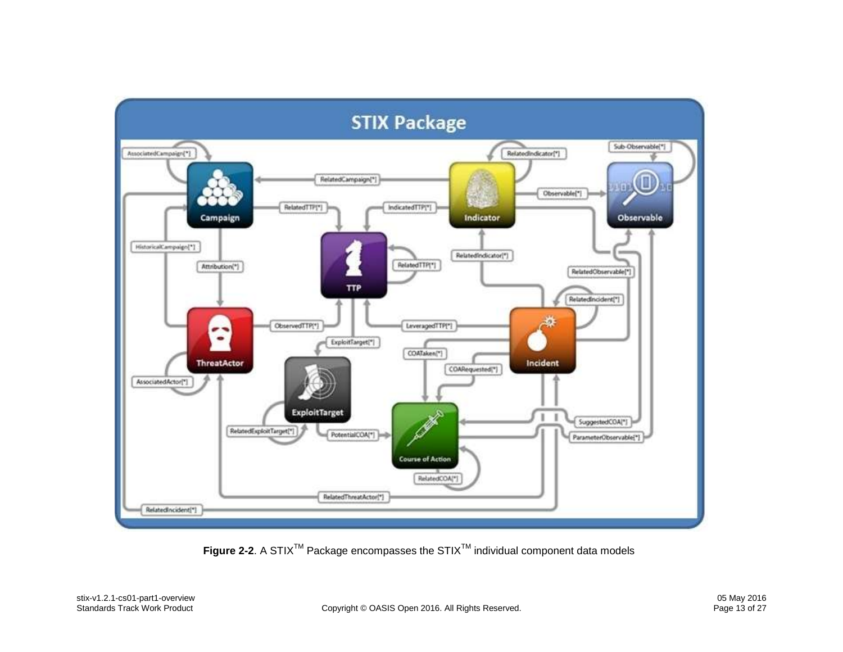

<span id="page-12-0"></span>Figure 2-2. A STIX<sup>™</sup> Package encompasses the STIX<sup>™</sup> individual component data models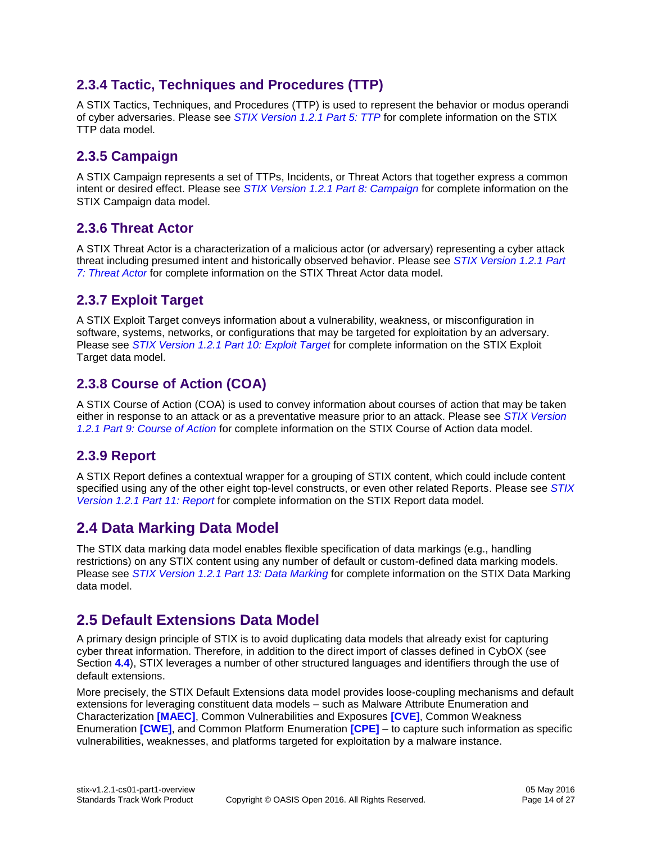#### <span id="page-13-0"></span>**2.3.4 Tactic, Techniques and Procedures (TTP)**

A STIX Tactics, Techniques, and Procedures (TTP) is used to represent the behavior or modus operandi of cyber adversaries. Please see *[STIX Version 1.2.1 Part 5: TTP](#page-0-0)* for complete information on the STIX TTP data model.

#### <span id="page-13-1"></span>**2.3.5 Campaign**

A STIX [Campaign](http://stixproject.github.io/data-model/1.1.1/campaign/CampaignType) represents a set of TTPs, Incidents, or Threat Actors that together express a common intent or desired effect. Please see *[STIX Version 1.2.1 Part 8: Campaign](#page-0-0)* for complete information on the STIX Campaign data model.

#### <span id="page-13-2"></span>**2.3.6 Threat Actor**

A STIX Threat Actor is a characterization of a malicious actor (or adversary) representing a cyber attack threat including presumed intent and historically observed behavior. Please see *[STIX Version 1.2.1 Part](#page-0-0)  [7: Threat Actor](#page-0-0)* for complete information on the STIX Threat Actor data model.

#### <span id="page-13-3"></span>**2.3.7 Exploit Target**

A STIX Exploit Target conveys information about a vulnerability, weakness, or misconfiguration in software, systems, networks, or configurations that may be targeted for exploitation by an adversary. Please see *[STIX Version 1.2.1 Part 10: Exploit Target](#page-0-0)* for complete information on the STIX Exploit Target data model.

#### <span id="page-13-4"></span>**2.3.8 Course of Action (COA)**

A STIX [Course of Action](http://stixproject.github.io/data-model/1.1.1/coa/CourseOfActionType) (COA) is used to convey information about courses of action that may be taken either in response to an attack or as a preventative measure prior to an attack. Please see *[STIX Version](#page-0-0)  [1.2.1 Part 9: Course of Action](#page-0-0)* for complete information on the STIX Course of Action data model.

#### <span id="page-13-5"></span>**2.3.9 Report**

A STIX Report defines a contextual wrapper for a grouping of STIX content, which could include content specified using any of the other eight top-level constructs, or even other related Reports. Please see *[STIX](#page-0-0)  [Version 1.2.1 Part 11: Report](#page-0-0)* for complete information on the STIX Report data model.

#### <span id="page-13-6"></span>**2.4 Data Marking Data Model**

The STIX data marking data model enables flexible specification of data markings (e.g., handling restrictions) on any STIX content using any number of default or custom-defined data marking models. Please see *[STIX Version 1.2.1 Part 13: Data Marking](#page-0-0)* for complete information on the STIX Data Marking data model.

### <span id="page-13-7"></span>**2.5 Default Extensions Data Model**

A primary design principle of STIX is to avoid duplicating data models that already exist for capturing cyber threat information. Therefore, in addition to the direct import of classes defined in CybOX (see Section **[4.4](#page-21-4)**), STIX leverages a number of other structured languages and identifiers through the use of default extensions.

More precisely, the STIX Default Extensions data model provides loose-coupling mechanisms and default extensions for leveraging constituent data models – such as Malware Attribute Enumeration and Characterization **[\[MAEC\]](#page-9-4)**, Common Vulnerabilities and Exposures **[\[CVE\]](#page-9-5)**, Common Weakness Enumeration **[\[CWE\]](#page-9-6)**, and Common Platform Enumeration **[\[CPE\]](#page-9-7)** – to capture such information as specific vulnerabilities, weaknesses, and platforms targeted for exploitation by a malware instance.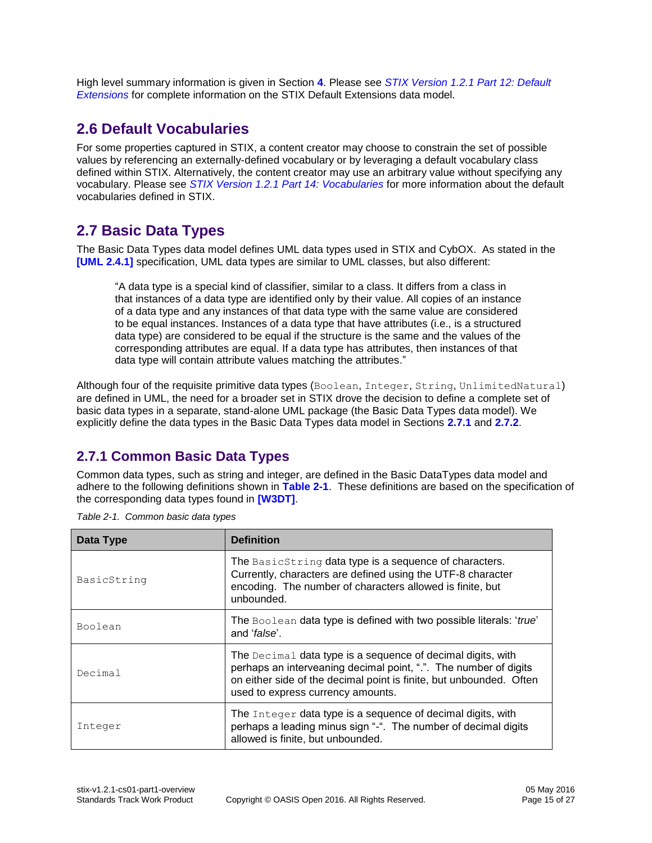High level summary information is given in Section **[4](#page-21-0)**. Please see *[STIX Version 1.2.1 Part 12: Default](#page-0-0)  [Extensions](#page-0-0)* for complete information on the STIX Default Extensions data model.

### <span id="page-14-0"></span>**2.6 Default Vocabularies**

For some properties captured in STIX, a content creator may choose to constrain the set of possible values by referencing an externally-defined vocabulary or by leveraging a default vocabulary class defined within STIX. Alternatively, the content creator may use an arbitrary value without specifying any vocabulary. Please see *[STIX Version 1.2.1 Part 14: Vocabularies](#page-0-0)* for more information about the default vocabularies defined in STIX.

# <span id="page-14-1"></span>**2.7 Basic Data Types**

The Basic Data Types data model defines UML data types used in STIX and CybOX. As stated in the **[\[UML 2.4.1\]](#page-9-8)** specification, UML data types are similar to UML classes, but also different:

"A data type is a special kind of classifier, similar to a class. It differs from a class in that instances of a data type are identified only by their value. All copies of an instance of a data type and any instances of that data type with the same value are considered to be equal instances. Instances of a data type that have attributes (i.e., is a structured data type) are considered to be equal if the structure is the same and the values of the corresponding attributes are equal. If a data type has attributes, then instances of that data type will contain attribute values matching the attributes."

Although four of the requisite primitive data types (Boolean, Integer, String, UnlimitedNatural) are defined in UML, the need for a broader set in STIX drove the decision to define a complete set of basic data types in a separate, stand-alone UML package (the Basic Data Types data model). We explicitly define the data types in the Basic Data Types data model in Sections **[2.7.1](#page-14-2)** and **[2.7.2](#page-15-0)**.

#### <span id="page-14-2"></span>**2.7.1 Common Basic Data Types**

Common data types, such as string and integer, are defined in the Basic DataTypes data model and adhere to the following definitions shown in **[Table 2-1](#page-14-3)**. These definitions are based on the specification of the corresponding data types found in **[\[W3DT\]](#page-9-9)**.

| Data Type   | <b>Definition</b>                                                                                                                                                                                                                           |
|-------------|---------------------------------------------------------------------------------------------------------------------------------------------------------------------------------------------------------------------------------------------|
| BasicString | The BasicString data type is a sequence of characters.<br>Currently, characters are defined using the UTF-8 character<br>encoding. The number of characters allowed is finite, but<br>unbounded.                                            |
| Boolean     | The Boolean data type is defined with two possible literals: 'true'<br>and ' <i>false</i> '.                                                                                                                                                |
| Decimal     | The Decimal data type is a sequence of decimal digits, with<br>perhaps an interveaning decimal point, ".". The number of digits<br>on either side of the decimal point is finite, but unbounded. Often<br>used to express currency amounts. |
| Integer     | The Integer data type is a sequence of decimal digits, with<br>perhaps a leading minus sign "-". The number of decimal digits<br>allowed is finite, but unbounded.                                                                          |

<span id="page-14-3"></span>

| Table 2-1. Common basic data types |  |  |
|------------------------------------|--|--|
|                                    |  |  |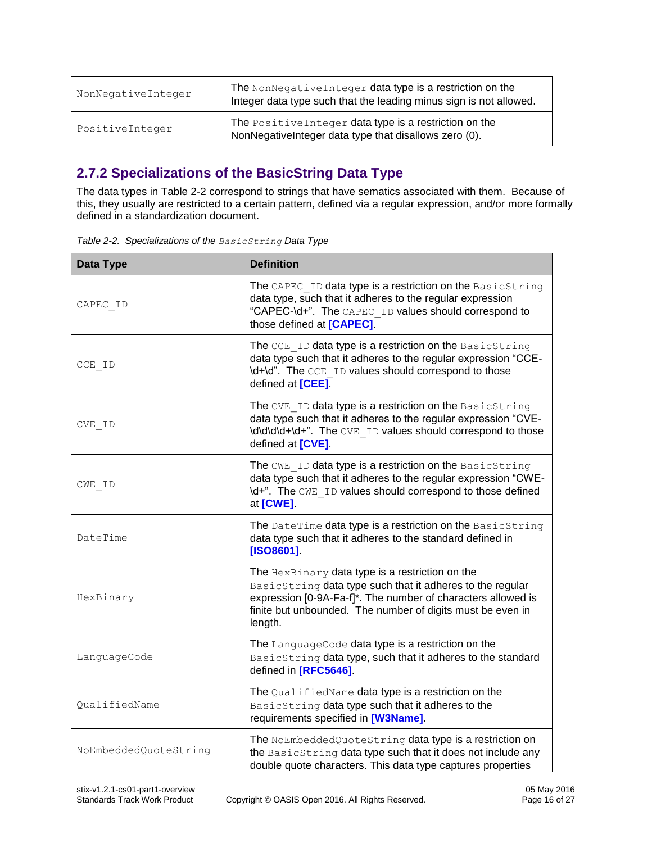| NonNegativeInteger | The NonNegativeInteger data type is a restriction on the<br>Integer data type such that the leading minus sign is not allowed. |
|--------------------|--------------------------------------------------------------------------------------------------------------------------------|
| PositiveInteger    | The PositiveInteger data type is a restriction on the<br>NonNegativeInteger data type that disallows zero (0).                 |

#### <span id="page-15-0"></span>**2.7.2 Specializations of the BasicString Data Type**

The data types in [Table 2-2](#page-15-1) correspond to strings that have sematics associated with them. Because of this, they usually are restricted to a certain pattern, defined via a regular expression, and/or more formally defined in a standardization document.

<span id="page-15-1"></span>

|  | Table 2-2. Specializations of the BasicString Data Type |  |  |
|--|---------------------------------------------------------|--|--|
|--|---------------------------------------------------------|--|--|

| Data Type             | <b>Definition</b>                                                                                                                                                                                                                                     |
|-----------------------|-------------------------------------------------------------------------------------------------------------------------------------------------------------------------------------------------------------------------------------------------------|
| CAPEC ID              | The CAPEC ID data type is a restriction on the BasicString<br>data type, such that it adheres to the regular expression<br>"CAPEC-\d+". The CAPEC ID values should correspond to<br>those defined at [CAPEC].                                         |
| CCE ID                | The CCE ID data type is a restriction on the BasicString<br>data type such that it adheres to the regular expression "CCE-<br>\d+\d". The CCE ID values should correspond to those<br>defined at [CEE].                                               |
| CVE ID                | The CVE ID data type is a restriction on the BasicString<br>data type such that it adheres to the regular expression "CVE-<br>\d\d\d\d+\d+". The CVE ID values should correspond to those<br>defined at [CVE].                                        |
| CWE ID                | The CWE ID data type is a restriction on the BasicString<br>data type such that it adheres to the regular expression "CWE-<br>\d+". The CWE ID values should correspond to those defined<br>at [CWE].                                                 |
| DateTime              | The DateTime data type is a restriction on the BasicString<br>data type such that it adheres to the standard defined in<br>[ISO8601].                                                                                                                 |
| HexBinary             | The HexBinary data type is a restriction on the<br>BasicString data type such that it adheres to the regular<br>expression [0-9A-Fa-f]*. The number of characters allowed is<br>finite but unbounded. The number of digits must be even in<br>length. |
| LanguageCode          | The LanguageCode data type is a restriction on the<br>BasicString data type, such that it adheres to the standard<br>defined in [RFC5646].                                                                                                            |
| QualifiedName         | The QualifiedName data type is a restriction on the<br>BasicString data type such that it adheres to the<br>requirements specified in [W3Name].                                                                                                       |
| NoEmbeddedQuoteString | The NoEmbeddedQuoteString data type is a restriction on<br>the BasicString data type such that it does not include any<br>double quote characters. This data type captures properties                                                                 |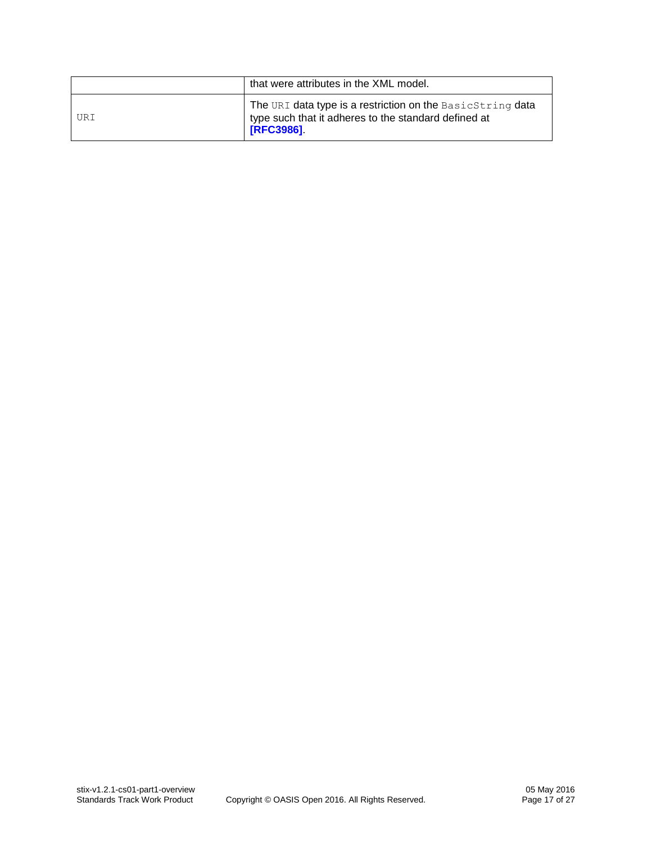|     | that were attributes in the XML model.                                                                                                 |
|-----|----------------------------------------------------------------------------------------------------------------------------------------|
| URI | The URI data type is a restriction on the BasicString data<br>type such that it adheres to the standard defined at<br><b>[RFC3986]</b> |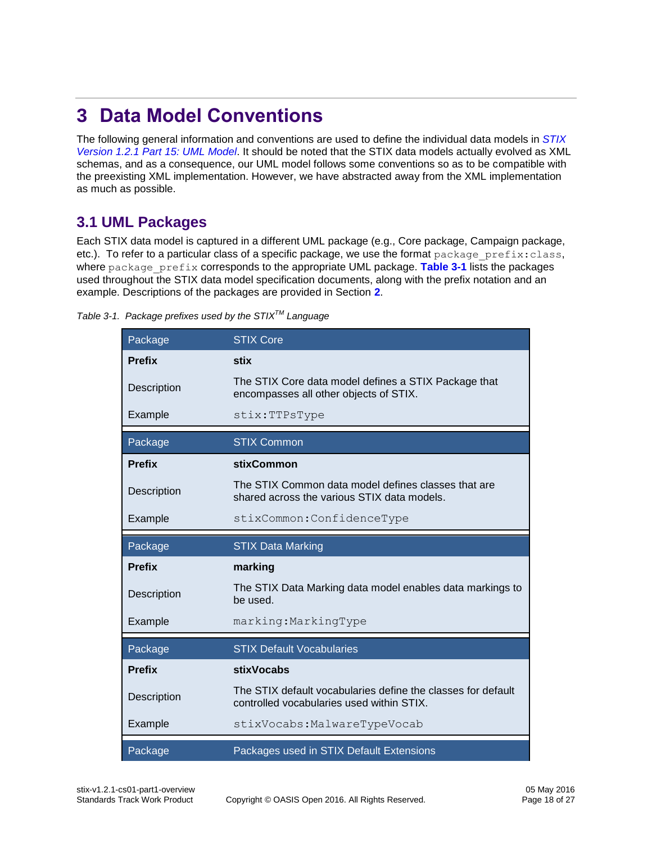# <span id="page-17-0"></span>**3 Data Model Conventions**

The following general information and conventions are used to define the individual data models in *[STIX](#page-0-0)  [Version 1.2.1 Part 15: UML Model](#page-0-0)*. It should be noted that the STIX data models actually evolved as XML schemas, and as a consequence, our UML model follows some conventions so as to be compatible with the preexisting XML implementation. However, we have abstracted away from the XML implementation as much as possible.

### <span id="page-17-1"></span>**3.1 UML Packages**

Each STIX data model is captured in a different UML package (e.g., Core package, Campaign package, etc.). To refer to a particular class of a specific package, we use the format package prefix:class, where package prefix corresponds to the appropriate UML package. [Table 3-1](#page-17-2) lists the packages used throughout the STIX data model specification documents, along with the prefix notation and an example. Descriptions of the packages are provided in Section **[2](#page-10-0)**.

<span id="page-17-2"></span>

| Package       | <b>STIX Core</b>                                                                                          |
|---------------|-----------------------------------------------------------------------------------------------------------|
| <b>Prefix</b> | stix                                                                                                      |
| Description   | The STIX Core data model defines a STIX Package that<br>encompasses all other objects of STIX.            |
| Example       | stix:TTPsType                                                                                             |
| Package       | <b>STIX Common</b>                                                                                        |
| <b>Prefix</b> | <b>stixCommon</b>                                                                                         |
| Description   | The STIX Common data model defines classes that are<br>shared across the various STIX data models.        |
| Example       | stixCommon: ConfidenceType                                                                                |
|               |                                                                                                           |
| Package       | <b>STIX Data Marking</b>                                                                                  |
| <b>Prefix</b> | marking                                                                                                   |
| Description   | The STIX Data Marking data model enables data markings to<br>be used.                                     |
| Example       | marking: MarkingType                                                                                      |
| Package       | <b>STIX Default Vocabularies</b>                                                                          |
| <b>Prefix</b> | stixVocabs                                                                                                |
| Description   | The STIX default vocabularies define the classes for default<br>controlled vocabularies used within STIX. |
| Example       | stixVocabs: MalwareTypeVocab                                                                              |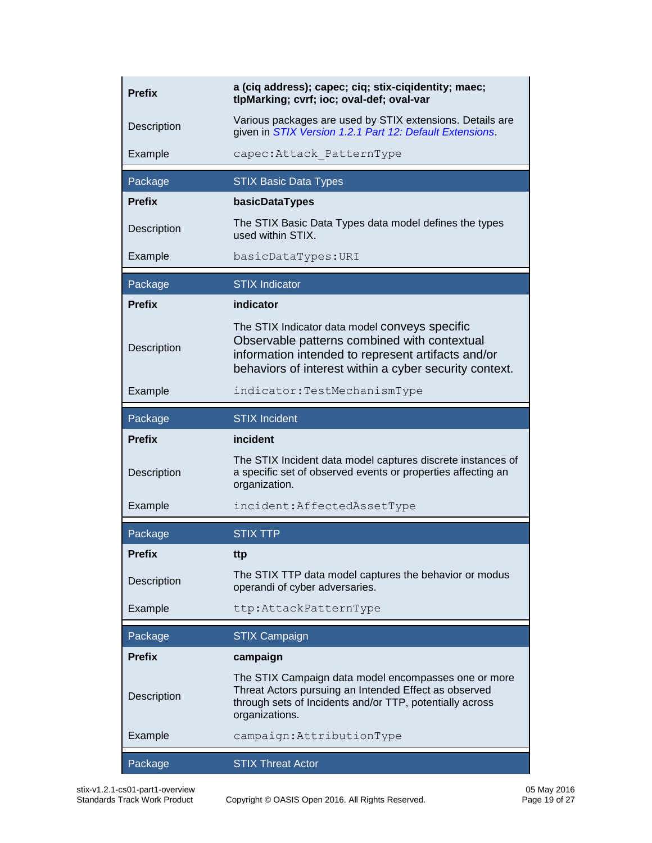| <b>Prefix</b> | a (ciq address); capec; ciq; stix-ciqidentity; maec;<br>tlpMarking; cvrf; ioc; oval-def; oval-var                                                                                                              |  |  |
|---------------|----------------------------------------------------------------------------------------------------------------------------------------------------------------------------------------------------------------|--|--|
| Description   | Various packages are used by STIX extensions. Details are<br>given in STIX Version 1.2.1 Part 12: Default Extensions.                                                                                          |  |  |
| Example       | capec: Attack PatternType                                                                                                                                                                                      |  |  |
| Package       | <b>STIX Basic Data Types</b>                                                                                                                                                                                   |  |  |
| <b>Prefix</b> | basicDataTypes                                                                                                                                                                                                 |  |  |
| Description   | The STIX Basic Data Types data model defines the types<br>used within STIX.                                                                                                                                    |  |  |
| Example       | basicDataTypes: URI                                                                                                                                                                                            |  |  |
| Package       | <b>STIX</b> Indicator                                                                                                                                                                                          |  |  |
| <b>Prefix</b> | indicator                                                                                                                                                                                                      |  |  |
| Description   | The STIX Indicator data model conveys specific<br>Observable patterns combined with contextual<br>information intended to represent artifacts and/or<br>behaviors of interest within a cyber security context. |  |  |
| Example       | indicator:TestMechanismType                                                                                                                                                                                    |  |  |
| Package       | <b>STIX Incident</b>                                                                                                                                                                                           |  |  |
|               |                                                                                                                                                                                                                |  |  |
| <b>Prefix</b> | incident                                                                                                                                                                                                       |  |  |
| Description   | The STIX Incident data model captures discrete instances of<br>a specific set of observed events or properties affecting an<br>organization.                                                                   |  |  |
| Example       | incident: AffectedAssetType                                                                                                                                                                                    |  |  |
| Package       | <b>STIX TTP</b>                                                                                                                                                                                                |  |  |
| <b>Prefix</b> | ttp                                                                                                                                                                                                            |  |  |
| Description   | The STIX TTP data model captures the behavior or modus<br>operandi of cyber adversaries.                                                                                                                       |  |  |
| Example       | ttp:AttackPatternType                                                                                                                                                                                          |  |  |
| Package       | <b>STIX Campaign</b>                                                                                                                                                                                           |  |  |
| <b>Prefix</b> | campaign                                                                                                                                                                                                       |  |  |
| Description   | The STIX Campaign data model encompasses one or more<br>Threat Actors pursuing an Intended Effect as observed<br>through sets of Incidents and/or TTP, potentially across<br>organizations.                    |  |  |
| Example       | campaign: AttributionType                                                                                                                                                                                      |  |  |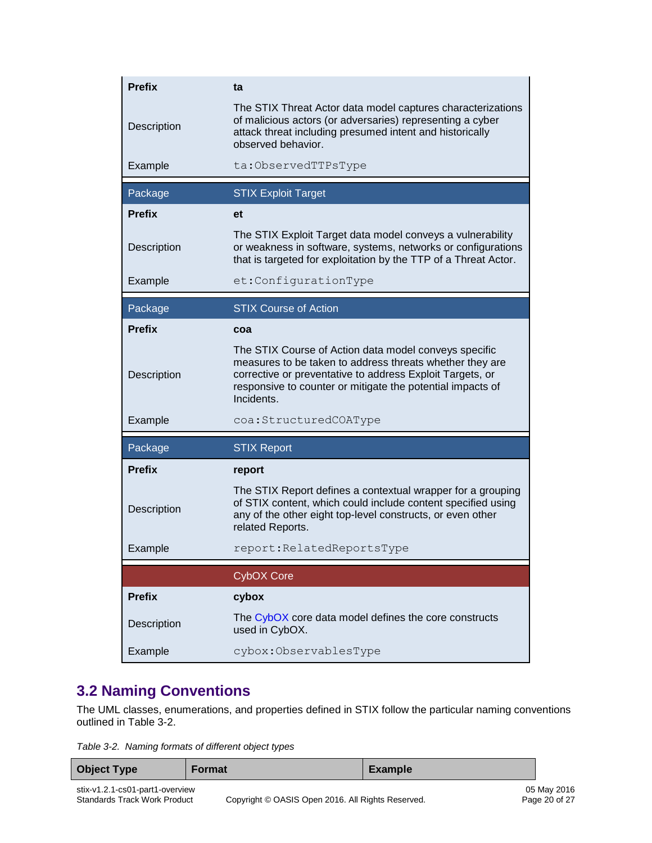| <b>Prefix</b> | ta                                                                                                                                                                                                                                                         |  |  |
|---------------|------------------------------------------------------------------------------------------------------------------------------------------------------------------------------------------------------------------------------------------------------------|--|--|
| Description   | The STIX Threat Actor data model captures characterizations<br>of malicious actors (or adversaries) representing a cyber<br>attack threat including presumed intent and historically<br>observed behavior.                                                 |  |  |
| Example       | ta:ObservedTTPsType                                                                                                                                                                                                                                        |  |  |
| Package       | <b>STIX Exploit Target</b>                                                                                                                                                                                                                                 |  |  |
| <b>Prefix</b> | et                                                                                                                                                                                                                                                         |  |  |
| Description   | The STIX Exploit Target data model conveys a vulnerability<br>or weakness in software, systems, networks or configurations<br>that is targeted for exploitation by the TTP of a Threat Actor.                                                              |  |  |
| Example       | et:ConfigurationType                                                                                                                                                                                                                                       |  |  |
| Package       | <b>STIX Course of Action</b>                                                                                                                                                                                                                               |  |  |
| <b>Prefix</b> | coa                                                                                                                                                                                                                                                        |  |  |
| Description   | The STIX Course of Action data model conveys specific<br>measures to be taken to address threats whether they are<br>corrective or preventative to address Exploit Targets, or<br>responsive to counter or mitigate the potential impacts of<br>Incidents. |  |  |
| Example       | coa: StructuredCOAType                                                                                                                                                                                                                                     |  |  |
| Package       | <b>STIX Report</b>                                                                                                                                                                                                                                         |  |  |
| <b>Prefix</b> | report                                                                                                                                                                                                                                                     |  |  |
| Description   | The STIX Report defines a contextual wrapper for a grouping<br>of STIX content, which could include content specified using<br>any of the other eight top-level constructs, or even other<br>related Reports.                                              |  |  |
| Example       | report: Related Reports Type                                                                                                                                                                                                                               |  |  |
|               | <b>CybOX Core</b>                                                                                                                                                                                                                                          |  |  |
| <b>Prefix</b> | cybox                                                                                                                                                                                                                                                      |  |  |
| Description   | The CybOX core data model defines the core constructs<br>used in CybOX.                                                                                                                                                                                    |  |  |
| Example       | cybox:ObservablesType                                                                                                                                                                                                                                      |  |  |

### <span id="page-19-0"></span>**3.2 Naming Conventions**

The UML classes, enumerations, and properties defined in STIX follow the particular naming conventions outlined in [Table 3-2.](#page-19-1)

<span id="page-19-1"></span>*Table 3-2. Naming formats of different object types*

| <b>Object Type</b>              | <b>Format</b> | Example |             |
|---------------------------------|---------------|---------|-------------|
| stix-v1.2.1-cs01-part1-overview |               |         | 05 May 2016 |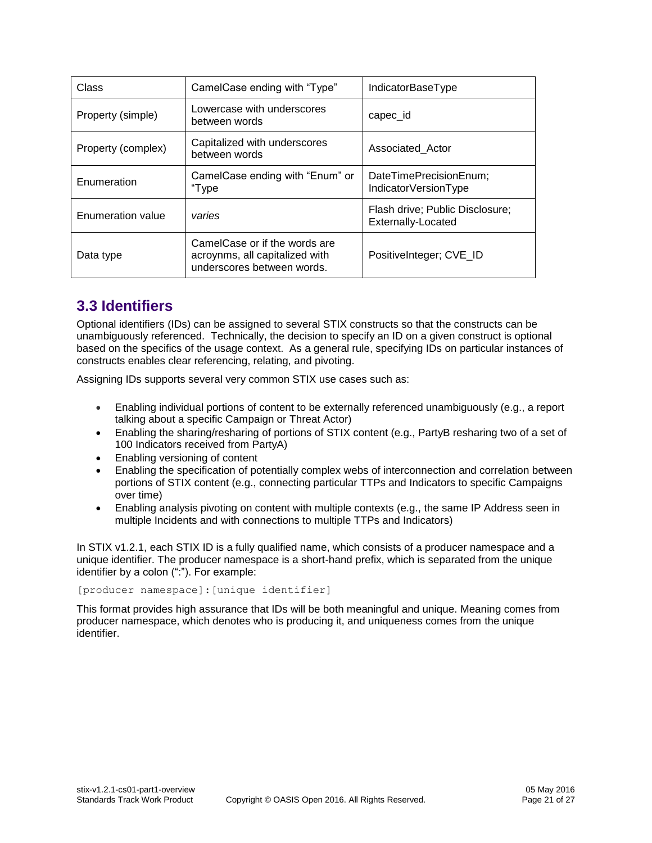| Class              | CamelCase ending with "Type"                                                                  | IndicatorBaseType                                     |
|--------------------|-----------------------------------------------------------------------------------------------|-------------------------------------------------------|
| Property (simple)  | Lowercase with underscores<br>between words                                                   | capec_id                                              |
| Property (complex) | Capitalized with underscores<br>between words                                                 | Associated_Actor                                      |
| Enumeration        | CamelCase ending with "Enum" or<br>"Type                                                      | DateTimePrecisionEnum;<br>IndicatorVersionType        |
| Enumeration value  | varies                                                                                        | Flash drive; Public Disclosure;<br>Externally-Located |
| Data type          | CamelCase or if the words are<br>acroynms, all capitalized with<br>underscores between words. | PositiveInteger; CVE_ID                               |

# <span id="page-20-0"></span>**3.3 Identifiers**

Optional identifiers (IDs) can be assigned to several STIX constructs so that the constructs can be unambiguously referenced. Technically, the decision to specify an ID on a given construct is optional based on the specifics of the usage context. As a general rule, specifying IDs on particular instances of constructs enables clear referencing, relating, and pivoting.

Assigning IDs supports several very common STIX use cases such as:

- Enabling individual portions of content to be externally referenced unambiguously (e.g., a report talking about a specific Campaign or Threat Actor)
- Enabling the sharing/resharing of portions of STIX content (e.g., PartyB resharing two of a set of 100 Indicators received from PartyA)
- Enabling versioning of content
- Enabling the specification of potentially complex webs of interconnection and correlation between portions of STIX content (e.g., connecting particular TTPs and Indicators to specific Campaigns over time)
- Enabling analysis pivoting on content with multiple contexts (e.g., the same IP Address seen in multiple Incidents and with connections to multiple TTPs and Indicators)

In STIX v1.2.1, each STIX ID is a fully qualified name, which consists of a producer namespace and a unique identifier. The producer namespace is a short-hand prefix, which is separated from the unique identifier by a colon (":"). For example:

[producer namespace]:[unique identifier]

This format provides high assurance that IDs will be both meaningful and unique. Meaning comes from producer namespace, which denotes who is producing it, and uniqueness comes from the unique identifier.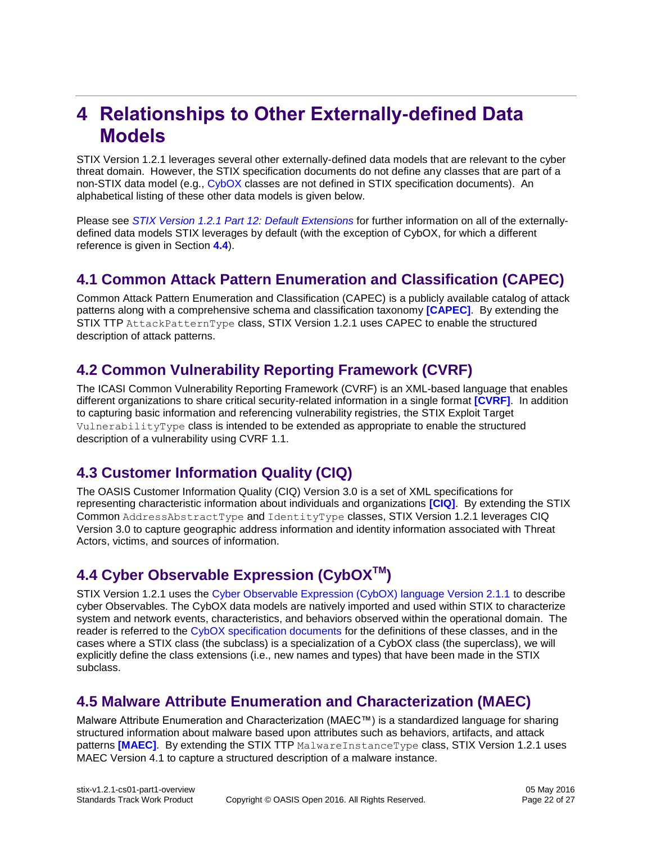# <span id="page-21-0"></span>**4 Relationships to Other Externally-defined Data Models**

STIX Version 1.2.1 leverages several other externally-defined data models that are relevant to the cyber threat domain. However, the STIX specification documents do not define any classes that are part of a non-STIX data model (e.g., [CybOX](#page-1-0) classes are not defined in STIX specification documents). An alphabetical listing of these other data models is given below.

Please see *[STIX Version 1.2.1 Part 12: Default Extensions](#page-0-0)* for further information on all of the externallydefined data models STIX leverages by default (with the exception of CybOX, for which a different reference is given in Section **[4.4](#page-21-4)**).

### <span id="page-21-1"></span>**4.1 Common Attack Pattern Enumeration and Classification (CAPEC)**

Common Attack Pattern Enumeration and Classification (CAPEC) is a publicly available catalog of attack patterns along with a comprehensive schema and classification taxonomy **[\[CAPEC\]](#page-8-5)**. By extending the STIX TTP AttackPatternType class, STIX Version 1.2.1 uses CAPEC to enable the structured description of attack patterns.

# <span id="page-21-2"></span>**4.2 Common Vulnerability Reporting Framework (CVRF)**

The ICASI Common Vulnerability Reporting Framework (CVRF) is an XML-based language that enables different organizations to share critical security-related information in a single format **[\[CVRF\]](#page-9-14)**. In addition to capturing basic information and referencing vulnerability registries, the STIX Exploit Target VulnerabilityType class is intended to be extended as appropriate to enable the structured description of a vulnerability using CVRF 1.1.

# <span id="page-21-3"></span>**4.3 Customer Information Quality (CIQ)**

The OASIS Customer Information Quality (CIQ) Version 3.0 is a set of XML specifications for representing characteristic information about individuals and organizations **[\[CIQ\]](#page-9-15)**. By extending the STIX Common AddressAbstractType and IdentityType classes, STIX Version 1.2.1 leverages CIQ Version 3.0 to capture geographic address information and identity information associated with Threat Actors, victims, and sources of information.

# <span id="page-21-4"></span>**4.4 Cyber Observable Expression (CybOXTM)**

STIX Version 1.2.1 uses the [Cyber Observable Expression \(CybOX\) language Version 2.1.1](#page-1-0) to describe cyber Observables. The CybOX data models are natively imported and used within STIX to characterize system and network events, characteristics, and behaviors observed within the operational domain. The reader is referred to the [CybOX specification documents](#page-1-0) for the definitions of these classes, and in the cases where a STIX class (the subclass) is a specialization of a CybOX class (the superclass), we will explicitly define the class extensions (i.e., new names and types) that have been made in the STIX subclass.

# <span id="page-21-5"></span>**4.5 Malware Attribute Enumeration and Characterization (MAEC)**

Malware Attribute Enumeration and Characterization (MAEC™) is a standardized language for sharing structured information about malware based upon attributes such as behaviors, artifacts, and attack patterns **[\[MAEC\]](#page-9-4)**. By extending the STIX TTP MalwareInstanceType class, STIX Version 1.2.1 uses MAEC Version 4.1 to capture a structured description of a malware instance.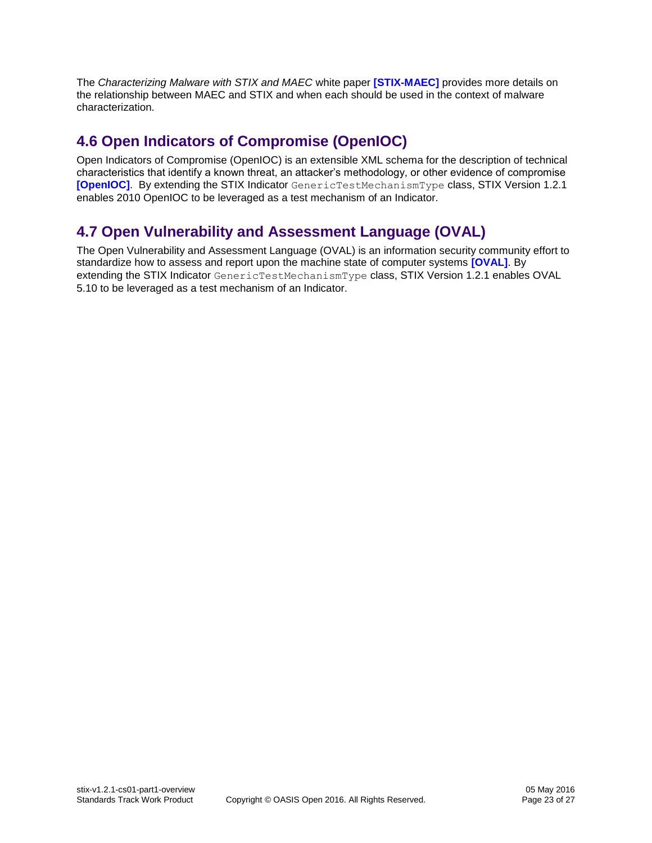The *Characterizing Malware with STIX and MAEC* white paper **[\[STIX-MAEC\]](#page-9-16)** provides more details on the relationship between MAEC and STIX and when each should be used in the context of malware characterization.

### <span id="page-22-0"></span>**4.6 Open Indicators of Compromise (OpenIOC)**

Open Indicators of Compromise (OpenIOC) is an extensible XML schema for the description of technical characteristics that identify a known threat, an attacker's methodology, or other evidence of compromise **[\[OpenIOC\]](#page-9-17)**. By extending the STIX Indicator GenericTestMechanismType class, STIX Version 1.2.1 enables 2010 OpenIOC to be leveraged as a test mechanism of an Indicator.

# <span id="page-22-1"></span>**4.7 Open Vulnerability and Assessment Language (OVAL)**

The Open Vulnerability and Assessment Language (OVAL) is an information security community effort to standardize how to assess and report upon the machine state of computer systems **[\[OVAL\]](#page-9-18)**. By extending the STIX Indicator GenericTestMechanismType class, STIX Version 1.2.1 enables OVAL 5.10 to be leveraged as a test mechanism of an Indicator.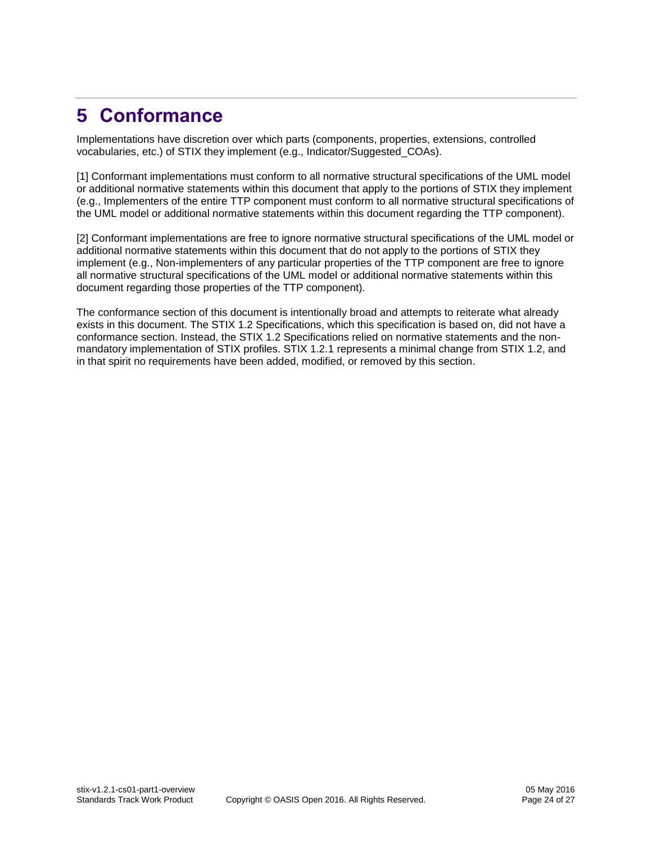# <span id="page-23-0"></span>**5 Conformance**

Implementations have discretion over which parts (components, properties, extensions, controlled vocabularies, etc.) of STIX they implement (e.g., Indicator/Suggested\_COAs).

[1] Conformant implementations must conform to all normative structural specifications of the UML model or additional normative statements within this document that apply to the portions of STIX they implement (e.g., Implementers of the entire TTP component must conform to all normative structural specifications of the UML model or additional normative statements within this document regarding the TTP component).

[2] Conformant implementations are free to ignore normative structural specifications of the UML model or additional normative statements within this document that do not apply to the portions of STIX they implement (e.g., Non-implementers of any particular properties of the TTP component are free to ignore all normative structural specifications of the UML model or additional normative statements within this document regarding those properties of the TTP component).

The conformance section of this document is intentionally broad and attempts to reiterate what already exists in this document. The STIX 1.2 Specifications, which this specification is based on, did not have a conformance section. Instead, the STIX 1.2 Specifications relied on normative statements and the nonmandatory implementation of STIX profiles. STIX 1.2.1 represents a minimal change from STIX 1.2, and in that spirit no requirements have been added, modified, or removed by this section.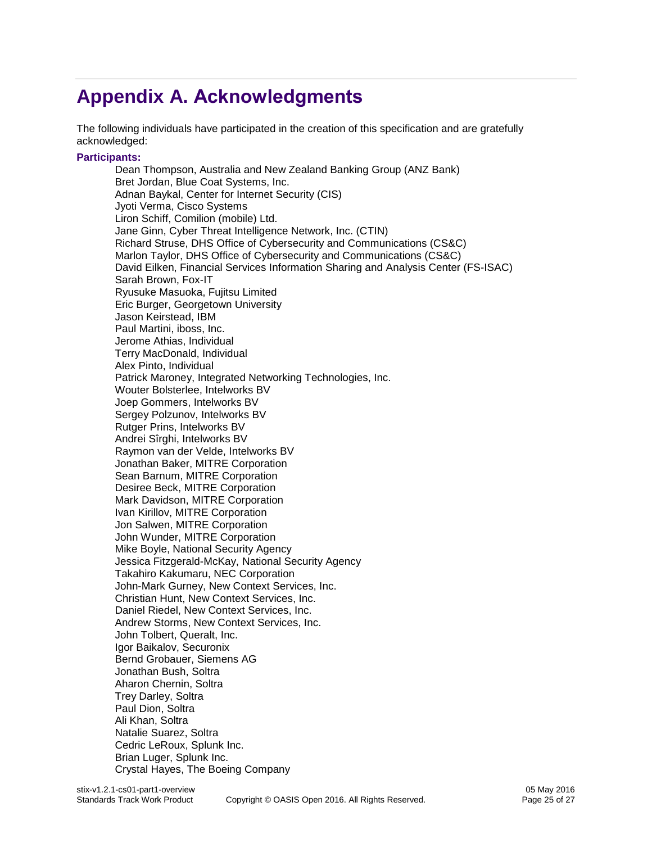# <span id="page-24-0"></span>**Appendix A. Acknowledgments**

The following individuals have participated in the creation of this specification and are gratefully acknowledged:

#### **Participants:**

Dean Thompson, Australia and New Zealand Banking Group (ANZ Bank) Bret Jordan, Blue Coat Systems, Inc. Adnan Baykal, Center for Internet Security (CIS) Jyoti Verma, Cisco Systems Liron Schiff, Comilion (mobile) Ltd. Jane Ginn, Cyber Threat Intelligence Network, Inc. (CTIN) Richard Struse, DHS Office of Cybersecurity and Communications (CS&C) Marlon Taylor, DHS Office of Cybersecurity and Communications (CS&C) David Eilken, Financial Services Information Sharing and Analysis Center (FS-ISAC) Sarah Brown, Fox-IT Ryusuke Masuoka, Fujitsu Limited Eric Burger, Georgetown University Jason Keirstead, IBM Paul Martini, iboss, Inc. Jerome Athias, Individual Terry MacDonald, Individual Alex Pinto, Individual Patrick Maroney, Integrated Networking Technologies, Inc. Wouter Bolsterlee, Intelworks BV Joep Gommers, Intelworks BV Sergey Polzunov, Intelworks BV Rutger Prins, Intelworks BV Andrei Sîrghi, Intelworks BV Raymon van der Velde, Intelworks BV Jonathan Baker, MITRE Corporation Sean Barnum, MITRE Corporation Desiree Beck, MITRE Corporation Mark Davidson, MITRE Corporation Ivan Kirillov, MITRE Corporation Jon Salwen, MITRE Corporation John Wunder, MITRE Corporation Mike Boyle, National Security Agency Jessica Fitzgerald-McKay, National Security Agency Takahiro Kakumaru, NEC Corporation John-Mark Gurney, New Context Services, Inc. Christian Hunt, New Context Services, Inc. Daniel Riedel, New Context Services, Inc. Andrew Storms, New Context Services, Inc. John Tolbert, Queralt, Inc. Igor Baikalov, Securonix Bernd Grobauer, Siemens AG Jonathan Bush, Soltra Aharon Chernin, Soltra Trey Darley, Soltra Paul Dion, Soltra Ali Khan, Soltra Natalie Suarez, Soltra Cedric LeRoux, Splunk Inc. Brian Luger, Splunk Inc. Crystal Hayes, The Boeing Company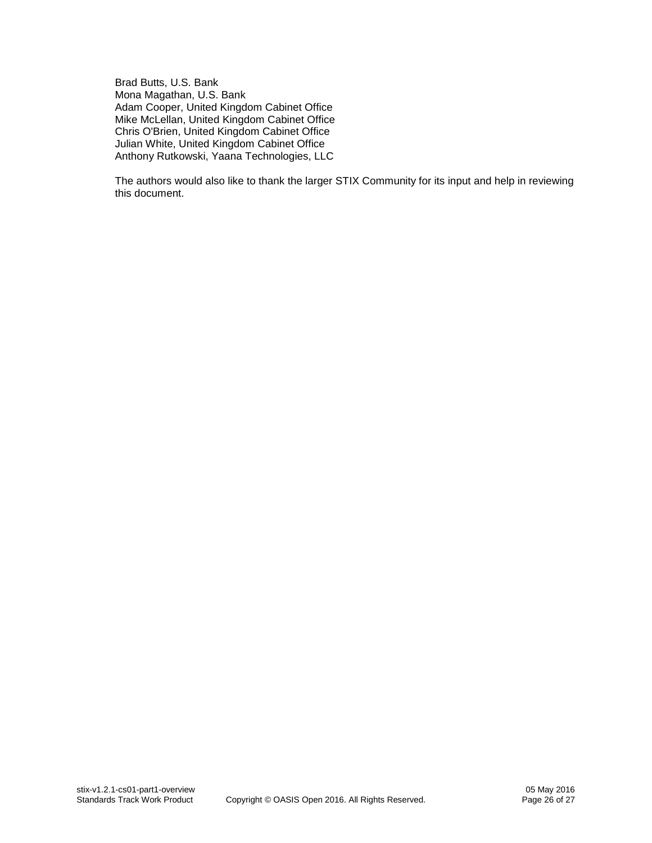Brad Butts, U.S. Bank Mona Magathan, U.S. Bank Adam Cooper, United Kingdom Cabinet Office Mike McLellan, United Kingdom Cabinet Office Chris O'Brien, United Kingdom Cabinet Office Julian White, United Kingdom Cabinet Office Anthony Rutkowski, Yaana Technologies, LLC

The authors would also like to thank the larger STIX Community for its input and help in reviewing this document.